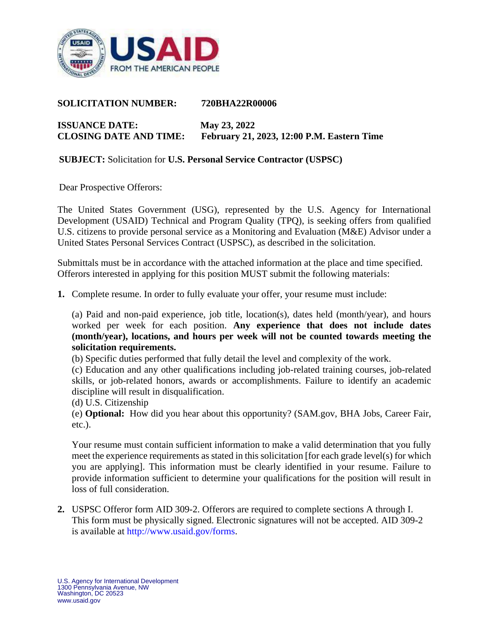

### **SOLICITATION NUMBER: 720BHA22R00006**

**ISSUANCE DATE: May 23, 2022 CLOSING DATE AND TIME: February 21, 2023, 12:00 P.M. Eastern Time** 

#### **SUBJECT:** Solicitation for **U.S. Personal Service Contractor (USPSC)**

Dear Prospective Offerors:

The United States Government (USG), represented by the U.S. Agency for International Development (USAID) Technical and Program Quality (TPQ), is seeking offers from qualified U.S. citizens to provide personal service as a Monitoring and Evaluation (M&E) Advisor under a United States Personal Services Contract (USPSC), as described in the solicitation.

Submittals must be in accordance with the attached information at the place and time specified. Offerors interested in applying for this position MUST submit the following materials:

**1.** Complete resume. In order to fully evaluate your offer, your resume must include:

(a) Paid and non-paid experience, job title, location(s), dates held (month/year), and hours worked per week for each position. **Any experience that does not include dates (month/year), locations, and hours per week will not be counted towards meeting the solicitation requirements.**

(b) Specific duties performed that fully detail the level and complexity of the work.

(c) Education and any other qualifications including job-related training courses, job-related skills, or job-related honors, awards or accomplishments. Failure to identify an academic discipline will result in disqualification.

(d) U.S. Citizenship

(e) **Optional:** How did you hear about this opportunity? (SAM.gov, BHA Jobs, Career Fair, etc.).

Your resume must contain sufficient information to make a valid determination that you fully meet the experience requirements as stated in this solicitation [for each grade level(s) for which you are applying]. This information must be clearly identified in your resume. Failure to provide information sufficient to determine your qualifications for the position will result in loss of full consideration.

**2.** USPSC Offeror form AID 309-2. Offerors are required to complete sections A through I. This form must be physically signed. Electronic signatures will not be accepted. AID 309-2 is available at http://www.usaid.gov/forms.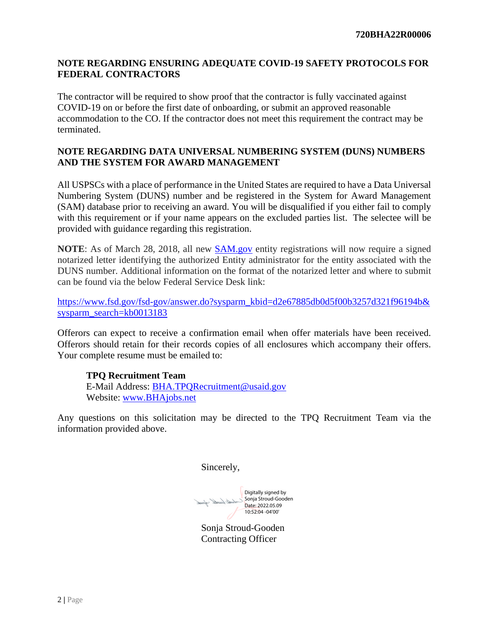## **NOTE REGARDING ENSURING ADEQUATE COVID-19 SAFETY PROTOCOLS FOR FEDERAL CONTRACTORS**

The contractor will be required to show proof that the contractor is fully vaccinated against COVID-19 on or before the first date of onboarding, or submit an approved reasonable accommodation to the CO. If the contractor does not meet this requirement the contract may be terminated.

# **NOTE REGARDING DATA UNIVERSAL NUMBERING SYSTEM (DUNS) NUMBERS AND THE SYSTEM FOR AWARD MANAGEMENT**

All USPSCs with a place of performance in the United States are required to have a Data Universal Numbering System (DUNS) number and be registered in the System for Award Management (SAM) database prior to receiving an award. You will be disqualified if you either fail to comply with this requirement or if your name appears on the excluded parties list. The selectee will be provided with guidance regarding this registration.

NOTE: As of March 28, 2018, all new **SAM.gov** entity registrations will now require a signed notarized letter identifying the authorized Entity administrator for the entity associated with the DUNS number. Additional information on the format of the notarized letter and where to submit can be found via the below Federal Service Desk link:

[https://www.fsd.gov/fsd-gov/answer.do?sysparm\\_kbid=d2e67885db0d5f00b3257d321f96194b&](https://www.fsd.gov/fsd-gov/answer.do?sysparm_kbid=d2e67885db0d5f00b3257d321f96194b&) sysparm\_search=kb0013183

Offerors can expect to receive a confirmation email when offer materials have been received. Offerors should retain for their records copies of all enclosures which accompany their offers. Your complete resume must be emailed to:

### **TPQ Recruitment Team**

E-Mail Address: [BHA.TPQRecruitment@usaid.gov](mailto:BHA.TPQRecruitment@usaid.gov) Website: [www.BHAjobs.net](http://www.bhajobs.net/)

Any questions on this solicitation may be directed to the TPQ Recruitment Team via the information provided above.

Sincerely,

Digitally signed by Sonja Stroud-Gooden Coolant-funtel Date: 2022.05.09 10:52:04 -04'00'

Sonja Stroud-Gooden Contracting Officer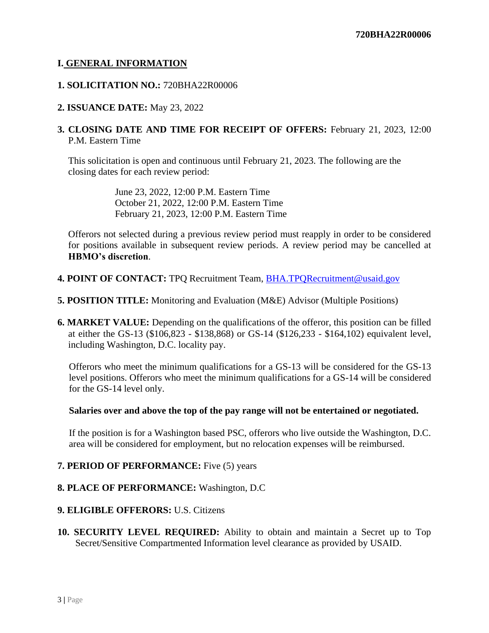# **I. GENERAL INFORMATION**

### **1. SOLICITATION NO.:** 720BHA22R00006

#### **2. ISSUANCE DATE:** May 23, 2022

# **3. CLOSING DATE AND TIME FOR RECEIPT OF OFFERS:** February 21, 2023, 12:00 P.M. Eastern Time

This solicitation is open and continuous until February 21, 2023. The following are the closing dates for each review period:

> June 23, 2022, 12:00 P.M. Eastern Time October 21, 2022, 12:00 P.M. Eastern Time February 21, 2023, 12:00 P.M. Eastern Time

Offerors not selected during a previous review period must reapply in order to be considered for positions available in subsequent review periods. A review period may be cancelled at **HBMO's discretion**.

- **4. POINT OF CONTACT:** TPQ Recruitment Team, [BHA.TPQRecruitment@usaid.gov](mailto:BHA.TPQRecruitment@usaid.gov)
- **5. POSITION TITLE:** Monitoring and Evaluation (M&E) Advisor (Multiple Positions)
- **6. MARKET VALUE:** Depending on the qualifications of the offeror, this position can be filled at either the GS-13 (\$106,823 - \$138,868) or GS-14 (\$126,233 - \$164,102) equivalent level, including Washington, D.C. locality pay.

Offerors who meet the minimum qualifications for a GS-13 will be considered for the GS-13 level positions. Offerors who meet the minimum qualifications for a GS-14 will be considered for the GS-14 level only.

#### **Salaries over and above the top of the pay range will not be entertained or negotiated.**

If the position is for a Washington based PSC, offerors who live outside the Washington, D.C. area will be considered for employment, but no relocation expenses will be reimbursed.

#### **7. PERIOD OF PERFORMANCE:** Five (5) years

**8. PLACE OF PERFORMANCE:** Washington, D.C

### **9. ELIGIBLE OFFERORS:** U.S. Citizens

**10. SECURITY LEVEL REQUIRED:** Ability to obtain and maintain a Secret up to Top Secret/Sensitive Compartmented Information level clearance as provided by USAID.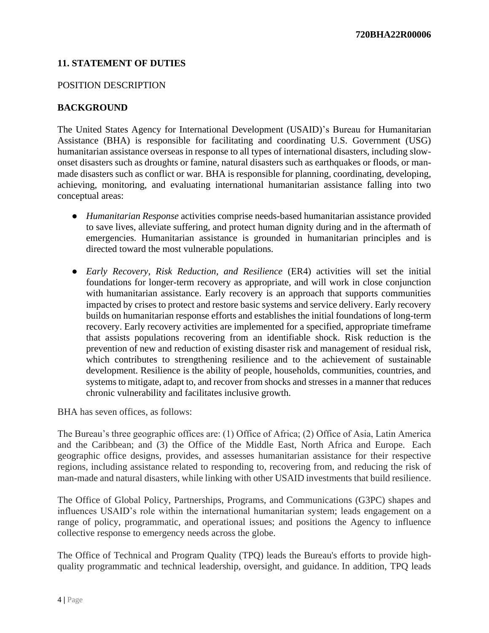# **11. STATEMENT OF DUTIES**

## POSITION DESCRIPTION

# **BACKGROUND**

The United States Agency for International Development (USAID)'s Bureau for Humanitarian Assistance (BHA) is responsible for facilitating and coordinating U.S. Government (USG) humanitarian assistance overseas in response to all types of international disasters, including slowonset disasters such as droughts or famine, natural disasters such as earthquakes or floods, or manmade disasters such as conflict or war. BHA is responsible for planning, coordinating, developing, achieving, monitoring, and evaluating international humanitarian assistance falling into two conceptual areas:

- *Humanitarian Response* activities comprise needs-based humanitarian assistance provided to save lives, alleviate suffering, and protect human dignity during and in the aftermath of emergencies. Humanitarian assistance is grounded in humanitarian principles and is directed toward the most vulnerable populations.
- *Early Recovery, Risk Reduction, and Resilience* (ER4) activities will set the initial foundations for longer-term recovery as appropriate, and will work in close conjunction with humanitarian assistance. Early recovery is an approach that supports communities impacted by crises to protect and restore basic systems and service delivery. Early recovery builds on humanitarian response efforts and establishes the initial foundations of long-term recovery. Early recovery activities are implemented for a specified, appropriate timeframe that assists populations recovering from an identifiable shock. Risk reduction is the prevention of new and reduction of existing disaster risk and management of residual risk, which contributes to strengthening resilience and to the achievement of sustainable development. Resilience is the ability of people, households, communities, countries, and systems to mitigate, adapt to, and recover from shocks and stresses in a manner that reduces chronic vulnerability and facilitates inclusive growth.

BHA has seven offices, as follows:

The Bureau's three geographic offices are: (1) Office of Africa; (2) Office of Asia, Latin America and the Caribbean; and (3) the Office of the Middle East, North Africa and Europe. Each geographic office designs, provides, and assesses humanitarian assistance for their respective regions, including assistance related to responding to, recovering from, and reducing the risk of man-made and natural disasters, while linking with other USAID investments that build resilience.

The Office of Global Policy, Partnerships, Programs, and Communications (G3PC) shapes and influences USAID's role within the international humanitarian system; leads engagement on a range of policy, programmatic, and operational issues; and positions the Agency to influence collective response to emergency needs across the globe.

The Office of Technical and Program Quality (TPQ) leads the Bureau's efforts to provide highquality programmatic and technical leadership, oversight, and guidance. In addition, TPQ leads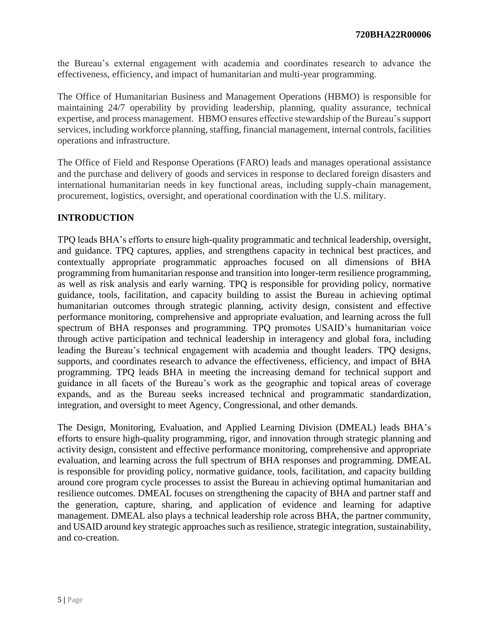the Bureau's external engagement with academia and coordinates research to advance the effectiveness, efficiency, and impact of humanitarian and multi-year programming.

The Office of Humanitarian Business and Management Operations (HBMO) is responsible for maintaining 24/7 operability by providing leadership, planning, quality assurance, technical expertise, and process management. HBMO ensures effective stewardship of the Bureau's support services, including workforce planning, staffing, financial management, internal controls, facilities operations and infrastructure.

The Office of Field and Response Operations (FARO) leads and manages operational assistance and the purchase and delivery of goods and services in response to declared foreign disasters and international humanitarian needs in key functional areas, including supply-chain management, procurement, logistics, oversight, and operational coordination with the U.S. military.

# **INTRODUCTION**

TPQ leads BHA's efforts to ensure high-quality programmatic and technical leadership, oversight, and guidance. TPQ captures, applies, and strengthens capacity in technical best practices, and contextually appropriate programmatic approaches focused on all dimensions of BHA programming from humanitarian response and transition into longer-term resilience programming, as well as risk analysis and early warning. TPQ is responsible for providing policy, normative guidance, tools, facilitation, and capacity building to assist the Bureau in achieving optimal humanitarian outcomes through strategic planning, activity design, consistent and effective performance monitoring, comprehensive and appropriate evaluation, and learning across the full spectrum of BHA responses and programming. TPQ promotes USAID's humanitarian voice through active participation and technical leadership in interagency and global fora, including leading the Bureau's technical engagement with academia and thought leaders. TPQ designs, supports, and coordinates research to advance the effectiveness, efficiency, and impact of BHA programming. TPQ leads BHA in meeting the increasing demand for technical support and guidance in all facets of the Bureau's work as the geographic and topical areas of coverage expands, and as the Bureau seeks increased technical and programmatic standardization, integration, and oversight to meet Agency, Congressional, and other demands.

The Design, Monitoring, Evaluation, and Applied Learning Division (DMEAL) leads BHA's efforts to ensure high-quality programming, rigor, and innovation through strategic planning and activity design, consistent and effective performance monitoring, comprehensive and appropriate evaluation, and learning across the full spectrum of BHA responses and programming. DMEAL is responsible for providing policy, normative guidance, tools, facilitation, and capacity building around core program cycle processes to assist the Bureau in achieving optimal humanitarian and resilience outcomes. DMEAL focuses on strengthening the capacity of BHA and partner staff and the generation, capture, sharing, and application of evidence and learning for adaptive management. DMEAL also plays a technical leadership role across BHA, the partner community, and USAID around key strategic approaches such as resilience, strategic integration, sustainability, and co-creation.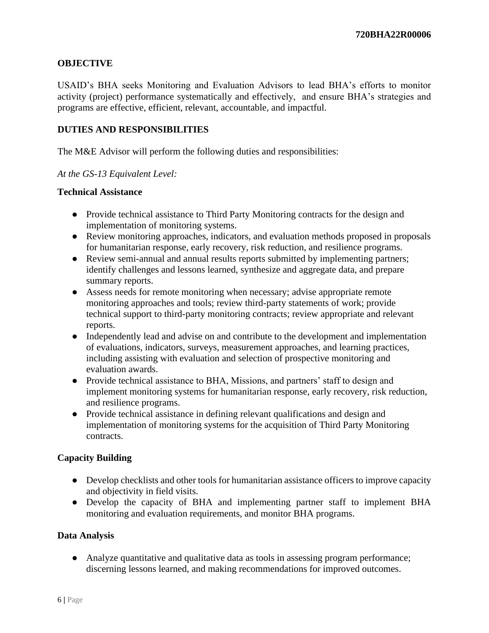## **OBJECTIVE**

USAID's BHA seeks Monitoring and Evaluation Advisors to lead BHA's efforts to monitor activity (project) performance systematically and effectively, and ensure BHA's strategies and programs are effective, efficient, relevant, accountable, and impactful.

### **DUTIES AND RESPONSIBILITIES**

The M&E Advisor will perform the following duties and responsibilities:

*At the GS-13 Equivalent Level:*

#### **Technical Assistance**

- Provide technical assistance to Third Party Monitoring contracts for the design and implementation of monitoring systems.
- Review monitoring approaches, indicators, and evaluation methods proposed in proposals for humanitarian response, early recovery, risk reduction, and resilience programs.
- Review semi-annual and annual results reports submitted by implementing partners; identify challenges and lessons learned, synthesize and aggregate data, and prepare summary reports.
- Assess needs for remote monitoring when necessary; advise appropriate remote monitoring approaches and tools; review third-party statements of work; provide technical support to third-party monitoring contracts; review appropriate and relevant reports.
- Independently lead and advise on and contribute to the development and implementation of evaluations, indicators, surveys, measurement approaches, and learning practices, including assisting with evaluation and selection of prospective monitoring and evaluation awards.
- Provide technical assistance to BHA, Missions, and partners' staff to design and implement monitoring systems for humanitarian response, early recovery, risk reduction, and resilience programs.
- Provide technical assistance in defining relevant qualifications and design and implementation of monitoring systems for the acquisition of Third Party Monitoring contracts.

### **Capacity Building**

- Develop checklists and other tools for humanitarian assistance officers to improve capacity and objectivity in field visits.
- Develop the capacity of BHA and implementing partner staff to implement BHA monitoring and evaluation requirements, and monitor BHA programs.

### **Data Analysis**

• Analyze quantitative and qualitative data as tools in assessing program performance; discerning lessons learned, and making recommendations for improved outcomes.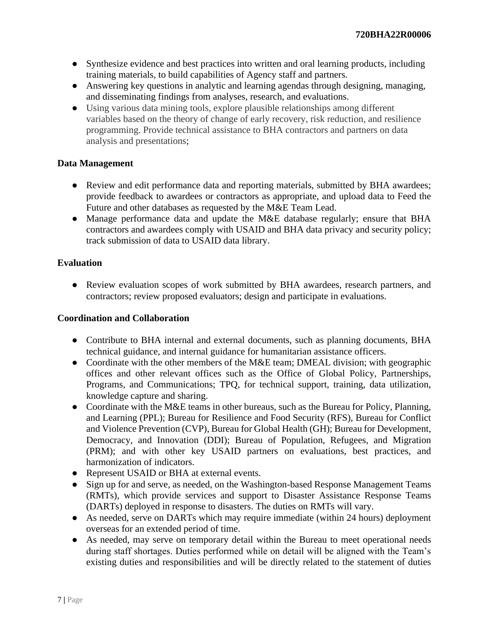- Synthesize evidence and best practices into written and oral learning products, including training materials, to build capabilities of Agency staff and partners.
- Answering key questions in analytic and learning agendas through designing, managing, and disseminating findings from analyses, research, and evaluations.
- Using various data mining tools, explore plausible relationships among different variables based on the theory of change of early recovery, risk reduction, and resilience programming. Provide technical assistance to BHA contractors and partners on data analysis and presentations;

# **Data Management**

- Review and edit performance data and reporting materials, submitted by BHA awardees; provide feedback to awardees or contractors as appropriate, and upload data to Feed the Future and other databases as requested by the M&E Team Lead.
- Manage performance data and update the M&E database regularly; ensure that BHA contractors and awardees comply with USAID and BHA data privacy and security policy; track submission of data to USAID data library.

# **Evaluation**

• Review evaluation scopes of work submitted by BHA awardees, research partners, and contractors; review proposed evaluators; design and participate in evaluations.

## **Coordination and Collaboration**

- Contribute to BHA internal and external documents, such as planning documents, BHA technical guidance, and internal guidance for humanitarian assistance officers.
- Coordinate with the other members of the M&E team; DMEAL division; with geographic offices and other relevant offices such as the Office of Global Policy, Partnerships, Programs, and Communications; TPQ, for technical support, training, data utilization, knowledge capture and sharing.
- Coordinate with the M&E teams in other bureaus, such as the Bureau for Policy, Planning, and Learning (PPL); Bureau for Resilience and Food Security (RFS), Bureau for Conflict and Violence Prevention (CVP), Bureau for Global Health (GH); Bureau for Development, Democracy, and Innovation (DDI); Bureau of Population, Refugees, and Migration (PRM); and with other key USAID partners on evaluations, best practices, and harmonization of indicators.
- Represent USAID or BHA at external events.
- Sign up for and serve, as needed, on the Washington-based Response Management Teams (RMTs), which provide services and support to Disaster Assistance Response Teams (DARTs) deployed in response to disasters. The duties on RMTs will vary.
- As needed, serve on DARTs which may require immediate (within 24 hours) deployment overseas for an extended period of time.
- As needed, may serve on temporary detail within the Bureau to meet operational needs during staff shortages. Duties performed while on detail will be aligned with the Team's existing duties and responsibilities and will be directly related to the statement of duties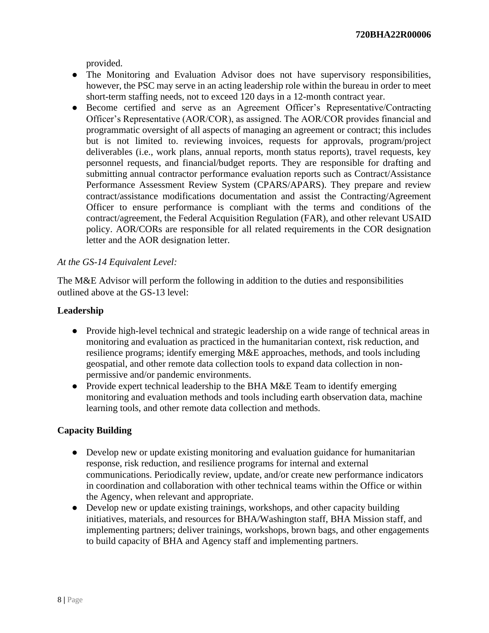provided.

- The Monitoring and Evaluation Advisor does not have supervisory responsibilities, however, the PSC may serve in an acting leadership role within the bureau in order to meet short-term staffing needs, not to exceed 120 days in a 12-month contract year.
- Become certified and serve as an Agreement Officer's Representative/Contracting Officer's Representative (AOR/COR), as assigned. The AOR/COR provides financial and programmatic oversight of all aspects of managing an agreement or contract; this includes but is not limited to. reviewing invoices, requests for approvals, program/project deliverables (i.e., work plans, annual reports, month status reports), travel requests, key personnel requests, and financial/budget reports. They are responsible for drafting and submitting annual contractor performance evaluation reports such as Contract/Assistance Performance Assessment Review System (CPARS/APARS). They prepare and review contract/assistance modifications documentation and assist the Contracting/Agreement Officer to ensure performance is compliant with the terms and conditions of the contract/agreement, the Federal Acquisition Regulation (FAR), and other relevant USAID policy. AOR/CORs are responsible for all related requirements in the COR designation letter and the AOR designation letter.

# *At the GS-14 Equivalent Level:*

The M&E Advisor will perform the following in addition to the duties and responsibilities outlined above at the GS-13 level:

### **Leadership**

- Provide high-level technical and strategic leadership on a wide range of technical areas in monitoring and evaluation as practiced in the humanitarian context, risk reduction, and resilience programs; identify emerging M&E approaches, methods, and tools including geospatial, and other remote data collection tools to expand data collection in nonpermissive and/or pandemic environments.
- Provide expert technical leadership to the BHA M&E Team to identify emerging monitoring and evaluation methods and tools including earth observation data, machine learning tools, and other remote data collection and methods.

### **Capacity Building**

- Develop new or update existing monitoring and evaluation guidance for humanitarian response, risk reduction, and resilience programs for internal and external communications. Periodically review, update, and/or create new performance indicators in coordination and collaboration with other technical teams within the Office or within the Agency, when relevant and appropriate.
- Develop new or update existing trainings, workshops, and other capacity building initiatives, materials, and resources for BHA/Washington staff, BHA Mission staff, and implementing partners; deliver trainings, workshops, brown bags, and other engagements to build capacity of BHA and Agency staff and implementing partners.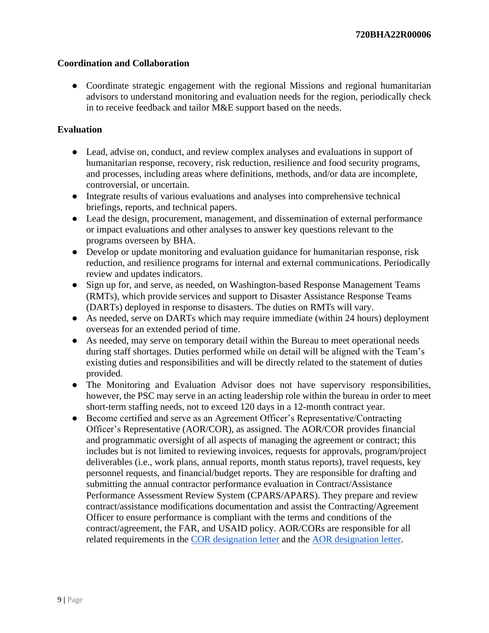### **Coordination and Collaboration**

• Coordinate strategic engagement with the regional Missions and regional humanitarian advisors to understand monitoring and evaluation needs for the region, periodically check in to receive feedback and tailor M&E support based on the needs.

#### **Evaluation**

- Lead, advise on, conduct, and review complex analyses and evaluations in support of humanitarian response, recovery, risk reduction, resilience and food security programs, and processes, including areas where definitions, methods, and/or data are incomplete, controversial, or uncertain.
- Integrate results of various evaluations and analyses into comprehensive technical briefings, reports, and technical papers.
- Lead the design, procurement, management, and dissemination of external performance or impact evaluations and other analyses to answer key questions relevant to the programs overseen by BHA.
- Develop or update monitoring and evaluation guidance for humanitarian response, risk reduction, and resilience programs for internal and external communications. Periodically review and updates indicators.
- Sign up for, and serve, as needed, on Washington-based Response Management Teams (RMTs), which provide services and support to Disaster Assistance Response Teams (DARTs) deployed in response to disasters. The duties on RMTs will vary.
- As needed, serve on DARTs which may require immediate (within 24 hours) deployment overseas for an extended period of time.
- As needed, may serve on temporary detail within the Bureau to meet operational needs during staff shortages. Duties performed while on detail will be aligned with the Team's existing duties and responsibilities and will be directly related to the statement of duties provided.
- The Monitoring and Evaluation Advisor does not have supervisory responsibilities, however, the PSC may serve in an acting leadership role within the bureau in order to meet short-term staffing needs, not to exceed 120 days in a 12-month contract year.
- Become certified and serve as an Agreement Officer's Representative/Contracting Officer's Representative (AOR/COR), as assigned. The AOR/COR provides financial and programmatic oversight of all aspects of managing the agreement or contract; this includes but is not limited to reviewing invoices, requests for approvals, program/project deliverables (i.e., work plans, annual reports, month status reports), travel requests, key personnel requests, and financial/budget reports. They are responsible for drafting and submitting the annual contractor performance evaluation in Contract/Assistance Performance Assessment Review System (CPARS/APARS). They prepare and review contract/assistance modifications documentation and assist the Contracting/Agreement Officer to ensure performance is compliant with the terms and conditions of the contract/agreement, the FAR, and USAID policy. AOR/CORs are responsible for all related requirements in the [COR designation letter](https://www.usaid.gov/ads/policy/300/302mar) and the [AOR designation letter.](https://www.usaid.gov/ads/policy/300/303mai)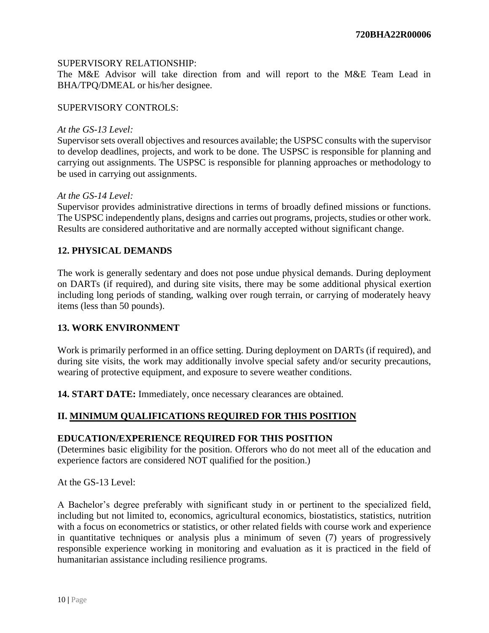#### SUPERVISORY RELATIONSHIP:

The M&E Advisor will take direction from and will report to the M&E Team Lead in BHA/TPQ/DMEAL or his/her designee.

#### SUPERVISORY CONTROLS:

#### *At the GS-13 Level:*

Supervisor sets overall objectives and resources available; the USPSC consults with the supervisor to develop deadlines, projects, and work to be done. The USPSC is responsible for planning and carrying out assignments. The USPSC is responsible for planning approaches or methodology to be used in carrying out assignments.

#### *At the GS-14 Level:*

Supervisor provides administrative directions in terms of broadly defined missions or functions. The USPSC independently plans, designs and carries out programs, projects, studies or other work. Results are considered authoritative and are normally accepted without significant change.

# **12. PHYSICAL DEMANDS**

The work is generally sedentary and does not pose undue physical demands. During deployment on DARTs (if required), and during site visits, there may be some additional physical exertion including long periods of standing, walking over rough terrain, or carrying of moderately heavy items (less than 50 pounds).

### **13. WORK ENVIRONMENT**

Work is primarily performed in an office setting. During deployment on DARTs (if required), and during site visits, the work may additionally involve special safety and/or security precautions, wearing of protective equipment, and exposure to severe weather conditions.

**14. START DATE:** Immediately, once necessary clearances are obtained.

### **II. MINIMUM QUALIFICATIONS REQUIRED FOR THIS POSITION**

### **EDUCATION/EXPERIENCE REQUIRED FOR THIS POSITION**

(Determines basic eligibility for the position. Offerors who do not meet all of the education and experience factors are considered NOT qualified for the position.)

At the GS-13 Level:

A Bachelor's degree preferably with significant study in or pertinent to the specialized field, including but not limited to, economics, agricultural economics, biostatistics, statistics, nutrition with a focus on econometrics or statistics, or other related fields with course work and experience in quantitative techniques or analysis plus a minimum of seven (7) years of progressively responsible experience working in monitoring and evaluation as it is practiced in the field of humanitarian assistance including resilience programs.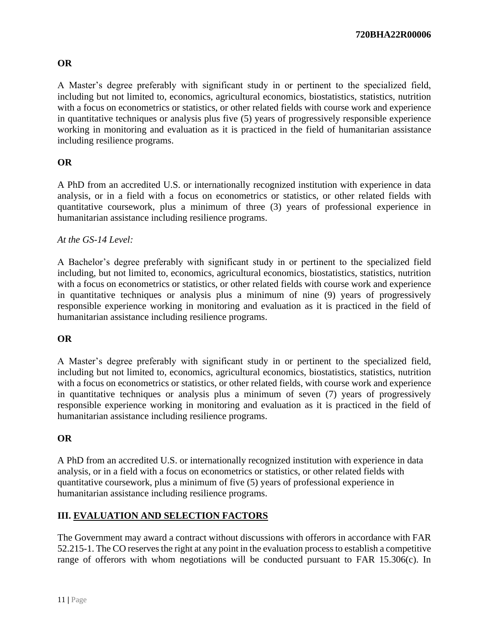# **OR**

A Master's degree preferably with significant study in or pertinent to the specialized field, including but not limited to, economics, agricultural economics, biostatistics, statistics, nutrition with a focus on econometrics or statistics, or other related fields with course work and experience in quantitative techniques or analysis plus five (5) years of progressively responsible experience working in monitoring and evaluation as it is practiced in the field of humanitarian assistance including resilience programs.

# **OR**

A PhD from an accredited U.S. or internationally recognized institution with experience in data analysis, or in a field with a focus on econometrics or statistics, or other related fields with quantitative coursework, plus a minimum of three (3) years of professional experience in humanitarian assistance including resilience programs.

# *At the GS-14 Level:*

A Bachelor's degree preferably with significant study in or pertinent to the specialized field including, but not limited to, economics, agricultural economics, biostatistics, statistics, nutrition with a focus on econometrics or statistics, or other related fields with course work and experience in quantitative techniques or analysis plus a minimum of nine (9) years of progressively responsible experience working in monitoring and evaluation as it is practiced in the field of humanitarian assistance including resilience programs.

# **OR**

A Master's degree preferably with significant study in or pertinent to the specialized field, including but not limited to, economics, agricultural economics, biostatistics, statistics, nutrition with a focus on econometrics or statistics, or other related fields, with course work and experience in quantitative techniques or analysis plus a minimum of seven (7) years of progressively responsible experience working in monitoring and evaluation as it is practiced in the field of humanitarian assistance including resilience programs.

# **OR**

A PhD from an accredited U.S. or internationally recognized institution with experience in data analysis, or in a field with a focus on econometrics or statistics, or other related fields with quantitative coursework, plus a minimum of five (5) years of professional experience in humanitarian assistance including resilience programs.

# **III. EVALUATION AND SELECTION FACTORS**

The Government may award a contract without discussions with offerors in accordance with FAR 52.215-1. The CO reserves the right at any point in the evaluation process to establish a competitive range of offerors with whom negotiations will be conducted pursuant to FAR 15.306(c). In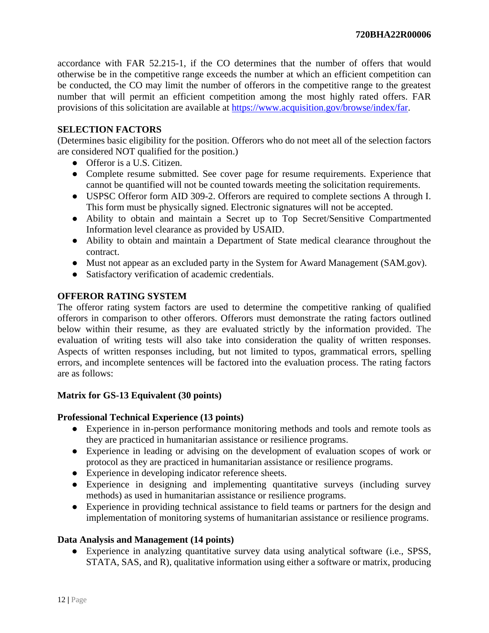accordance with FAR 52.215-1, if the CO determines that the number of offers that would otherwise be in the competitive range exceeds the number at which an efficient competition can be conducted, the CO may limit the number of offerors in the competitive range to the greatest number that will permit an efficient competition among the most highly rated offers. FAR provisions of this solicitation are available at [https://www.acquisition.gov/browse/index/far.](https://www.acquisition.gov/browse/index/far)

# **SELECTION FACTORS**

(Determines basic eligibility for the position. Offerors who do not meet all of the selection factors are considered NOT qualified for the position.)

- Offeror is a U.S. Citizen.
- Complete resume submitted. See cover page for resume requirements. Experience that cannot be quantified will not be counted towards meeting the solicitation requirements.
- USPSC Offeror form AID 309-2. Offerors are required to complete sections A through I. This form must be physically signed. Electronic signatures will not be accepted.
- Ability to obtain and maintain a Secret up to Top Secret/Sensitive Compartmented Information level clearance as provided by USAID.
- Ability to obtain and maintain a Department of State medical clearance throughout the contract.
- Must not appear as an excluded party in the System for Award Management (SAM.gov).
- Satisfactory verification of academic credentials.

# **OFFEROR RATING SYSTEM**

The offeror rating system factors are used to determine the competitive ranking of qualified offerors in comparison to other offerors. Offerors must demonstrate the rating factors outlined below within their resume, as they are evaluated strictly by the information provided. The evaluation of writing tests will also take into consideration the quality of written responses. Aspects of written responses including, but not limited to typos, grammatical errors, spelling errors, and incomplete sentences will be factored into the evaluation process. The rating factors are as follows:

### **Matrix for GS-13 Equivalent (30 points)**

### **Professional Technical Experience (13 points)**

- Experience in in-person performance monitoring methods and tools and remote tools as they are practiced in humanitarian assistance or resilience programs.
- Experience in leading or advising on the development of evaluation scopes of work or protocol as they are practiced in humanitarian assistance or resilience programs.
- Experience in developing indicator reference sheets.
- Experience in designing and implementing quantitative surveys (including survey methods) as used in humanitarian assistance or resilience programs.
- Experience in providing technical assistance to field teams or partners for the design and implementation of monitoring systems of humanitarian assistance or resilience programs.

### **Data Analysis and Management (14 points)**

● Experience in analyzing quantitative survey data using analytical software (i.e., SPSS, STATA, SAS, and R), qualitative information using either a software or matrix, producing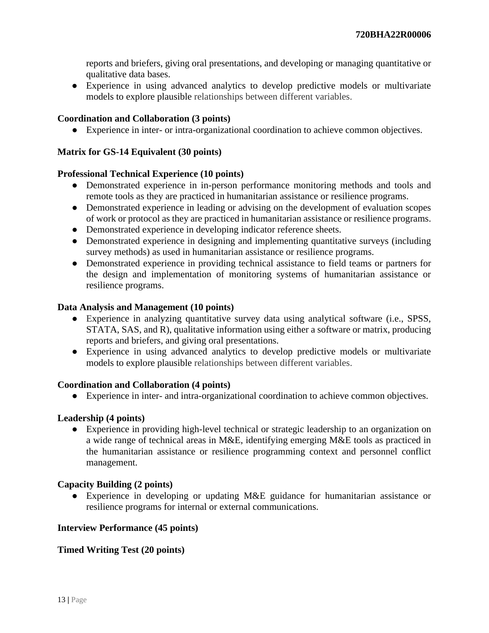reports and briefers, giving oral presentations, and developing or managing quantitative or qualitative data bases.

● Experience in using advanced analytics to develop predictive models or multivariate models to explore plausible relationships between different variables.

### **Coordination and Collaboration (3 points)**

● Experience in inter- or intra-organizational coordination to achieve common objectives.

#### **Matrix for GS-14 Equivalent (30 points)**

#### **Professional Technical Experience (10 points)**

- Demonstrated experience in in-person performance monitoring methods and tools and remote tools as they are practiced in humanitarian assistance or resilience programs.
- Demonstrated experience in leading or advising on the development of evaluation scopes of work or protocol as they are practiced in humanitarian assistance or resilience programs.
- Demonstrated experience in developing indicator reference sheets.
- Demonstrated experience in designing and implementing quantitative surveys (including survey methods) as used in humanitarian assistance or resilience programs.
- Demonstrated experience in providing technical assistance to field teams or partners for the design and implementation of monitoring systems of humanitarian assistance or resilience programs.

#### **Data Analysis and Management (10 points)**

- Experience in analyzing quantitative survey data using analytical software (i.e., SPSS, STATA, SAS, and R), qualitative information using either a software or matrix, producing reports and briefers, and giving oral presentations.
- Experience in using advanced analytics to develop predictive models or multivariate models to explore plausible relationships between different variables.

### **Coordination and Collaboration (4 points)**

● Experience in inter- and intra-organizational coordination to achieve common objectives.

### **Leadership (4 points)**

● Experience in providing high-level technical or strategic leadership to an organization on a wide range of technical areas in M&E, identifying emerging M&E tools as practiced in the humanitarian assistance or resilience programming context and personnel conflict management.

### **Capacity Building (2 points)**

● Experience in developing or updating M&E guidance for humanitarian assistance or resilience programs for internal or external communications.

#### **Interview Performance (45 points)**

### **Timed Writing Test (20 points)**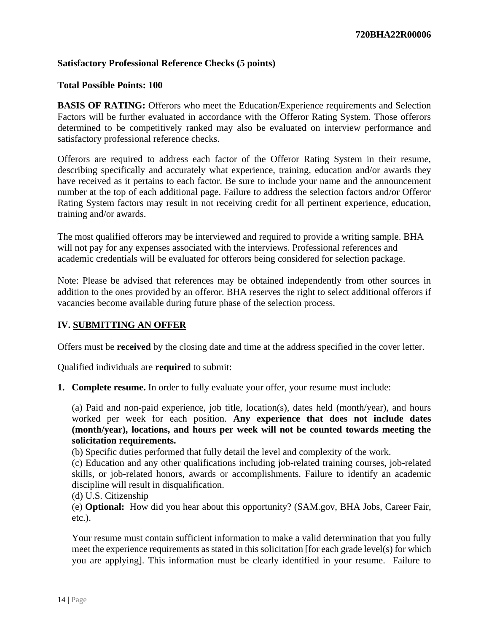### **Satisfactory Professional Reference Checks (5 points)**

#### **Total Possible Points: 100**

**BASIS OF RATING:** Offerors who meet the Education/Experience requirements and Selection Factors will be further evaluated in accordance with the Offeror Rating System. Those offerors determined to be competitively ranked may also be evaluated on interview performance and satisfactory professional reference checks.

Offerors are required to address each factor of the Offeror Rating System in their resume, describing specifically and accurately what experience, training, education and/or awards they have received as it pertains to each factor. Be sure to include your name and the announcement number at the top of each additional page. Failure to address the selection factors and/or Offeror Rating System factors may result in not receiving credit for all pertinent experience, education, training and/or awards.

The most qualified offerors may be interviewed and required to provide a writing sample. BHA will not pay for any expenses associated with the interviews. Professional references and academic credentials will be evaluated for offerors being considered for selection package.

Note: Please be advised that references may be obtained independently from other sources in addition to the ones provided by an offeror. BHA reserves the right to select additional offerors if vacancies become available during future phase of the selection process.

### **IV. SUBMITTING AN OFFER**

Offers must be **received** by the closing date and time at the address specified in the cover letter.

Qualified individuals are **required** to submit:

**1. Complete resume.** In order to fully evaluate your offer, your resume must include:

(a) Paid and non-paid experience, job title, location(s), dates held (month/year), and hours worked per week for each position. **Any experience that does not include dates (month/year), locations, and hours per week will not be counted towards meeting the solicitation requirements.**

(b) Specific duties performed that fully detail the level and complexity of the work.

(c) Education and any other qualifications including job-related training courses, job-related skills, or job-related honors, awards or accomplishments. Failure to identify an academic discipline will result in disqualification.

(d) U.S. Citizenship

(e) **Optional:** How did you hear about this opportunity? (SAM.gov, BHA Jobs, Career Fair, etc.).

Your resume must contain sufficient information to make a valid determination that you fully meet the experience requirements as stated in this solicitation [for each grade level(s) for which you are applying]. This information must be clearly identified in your resume. Failure to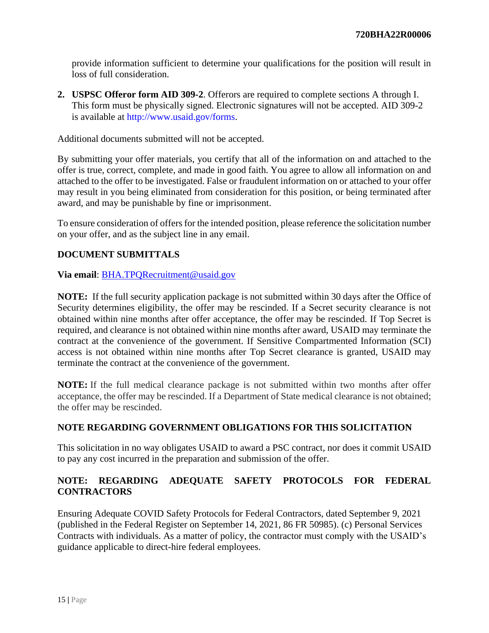provide information sufficient to determine your qualifications for the position will result in loss of full consideration.

**2. USPSC Offeror form AID 309-2**. Offerors are required to complete sections A through I. This form must be physically signed. Electronic signatures will not be accepted. AID 309-2 is available at http://www.usaid.gov/forms.

Additional documents submitted will not be accepted.

By submitting your offer materials, you certify that all of the information on and attached to the offer is true, correct, complete, and made in good faith. You agree to allow all information on and attached to the offer to be investigated. False or fraudulent information on or attached to your offer may result in you being eliminated from consideration for this position, or being terminated after award, and may be punishable by fine or imprisonment.

To ensure consideration of offers for the intended position, please reference the solicitation number on your offer, and as the subject line in any email.

# **DOCUMENT SUBMITTALS**

**Via email**: [BHA.TPQRecruitment@usaid.gov](mailto:BHA.TPQRecruitment@usaid.gov)

**NOTE:** If the full security application package is not submitted within 30 days after the Office of Security determines eligibility, the offer may be rescinded. If a Secret security clearance is not obtained within nine months after offer acceptance, the offer may be rescinded. If Top Secret is required, and clearance is not obtained within nine months after award, USAID may terminate the contract at the convenience of the government. If Sensitive Compartmented Information (SCI) access is not obtained within nine months after Top Secret clearance is granted, USAID may terminate the contract at the convenience of the government.

**NOTE:** If the full medical clearance package is not submitted within two months after offer acceptance, the offer may be rescinded. If a Department of State medical clearance is not obtained; the offer may be rescinded.

### **NOTE REGARDING GOVERNMENT OBLIGATIONS FOR THIS SOLICITATION**

This solicitation in no way obligates USAID to award a PSC contract, nor does it commit USAID to pay any cost incurred in the preparation and submission of the offer.

# **NOTE: REGARDING ADEQUATE SAFETY PROTOCOLS FOR FEDERAL CONTRACTORS**

Ensuring Adequate COVID Safety Protocols for Federal Contractors, dated September 9, 2021 (published in the Federal Register on September 14, 2021, 86 FR 50985). (c) Personal Services Contracts with individuals. As a matter of policy, the contractor must comply with the USAID's guidance applicable to direct-hire federal employees.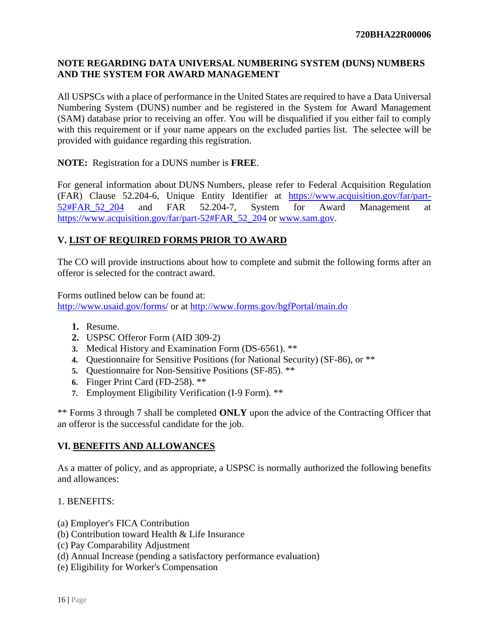# **NOTE REGARDING DATA UNIVERSAL NUMBERING SYSTEM (DUNS) NUMBERS AND THE SYSTEM FOR AWARD MANAGEMENT**

All USPSCs with a place of performance in the United States are required to have a Data Universal Numbering System (DUNS) number and be registered in the System for Award Management (SAM) database prior to receiving an offer. You will be disqualified if you either fail to comply with this requirement or if your name appears on the excluded parties list. The selectee will be provided with guidance regarding this registration.

**NOTE:** Registration for a DUNS number is **FREE**.

For general information about DUNS Numbers, please refer to Federal Acquisition Regulation (FAR) Clause 52.204-6, Unique Entity Identifier at [https://www.acquisition.gov/far/part-](https://www.acquisition.gov/far/part-52#FAR_52_204)[52#FAR\\_52\\_204](https://www.acquisition.gov/far/part-52#FAR_52_204) and FAR 52.204-7, System for Award Management at [https://www.acquisition.gov/far/part-52#FAR\\_52\\_204](https://www.acquisition.gov/far/part-52#FAR_52_204) or [www.sam.gov.](http://www.sam.gov/)

# **V. LIST OF REQUIRED FORMS PRIOR TO AWARD**

The CO will provide instructions about how to complete and submit the following forms after an offeror is selected for the contract award.

Forms outlined below can be found at:

<http://www.usaid.gov/forms/> or at<http://www.forms.gov/bgfPortal/main.do>

- **1.** Resume.
- **2.** USPSC Offeror Form (AID 309-2)
- **3.** Medical History and Examination Form (DS-6561). \*\*
- **4.** Questionnaire for Sensitive Positions (for National Security) (SF-86), or \*\*
- **5.** Questionnaire for Non-Sensitive Positions (SF-85). \*\*
- **6.** Finger Print Card (FD-258). \*\*
- **7.** Employment Eligibility Verification (I-9 Form). \*\*

\*\* Forms 3 through 7 shall be completed **ONLY** upon the advice of the Contracting Officer that an offeror is the successful candidate for the job.

### **VI. BENEFITS AND ALLOWANCES**

As a matter of policy, and as appropriate, a USPSC is normally authorized the following benefits and allowances:

### 1. BENEFITS:

- (a) Employer's FICA Contribution
- (b) Contribution toward Health & Life Insurance
- (c) Pay Comparability Adjustment
- (d) Annual Increase (pending a satisfactory performance evaluation)
- (e) Eligibility for Worker's Compensation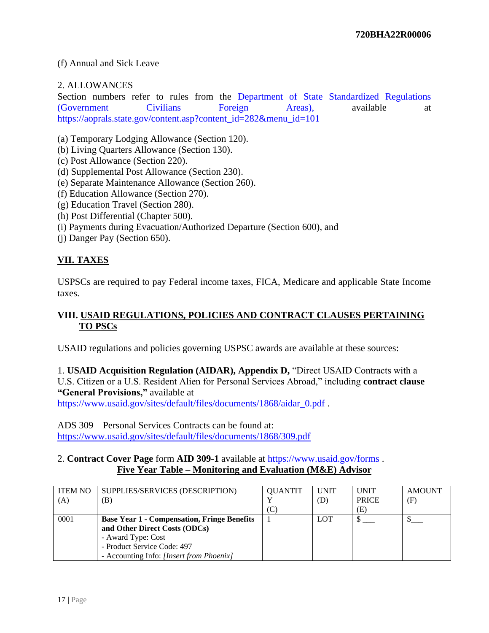## (f) Annual and Sick Leave

## 2. ALLOWANCES

Section numbers refer to rules from the Department of State Standardized Regulations (Government Civilians Foreign Areas), available at [https://aoprals.state.gov/content.asp?content\\_id=282&menu\\_id=101](https://aoprals.state.gov/content.asp?content_id=282&menu_id=101)

(a) Temporary Lodging Allowance (Section 120).

- (b) Living Quarters Allowance (Section 130).
- (c) Post Allowance (Section 220).
- (d) Supplemental Post Allowance (Section 230).
- (e) Separate Maintenance Allowance (Section 260).
- (f) Education Allowance (Section 270).
- (g) Education Travel (Section 280).
- (h) Post Differential (Chapter 500).
- (i) Payments during Evacuation/Authorized Departure (Section 600), and
- (j) Danger Pay (Section 650).

# **VII. TAXES**

USPSCs are required to pay Federal income taxes, FICA, Medicare and applicable State Income taxes.

# **VIII. USAID REGULATIONS, POLICIES AND CONTRACT CLAUSES PERTAINING TO PSCs**

USAID regulations and policies governing USPSC awards are available at these sources:

1. **USAID Acquisition Regulation (AIDAR), Appendix D,** "Direct USAID Contracts with a U.S. Citizen or a U.S. Resident Alien for Personal Services Abroad," including **contract clause "General Provisions,"** available at

https://www.usaid.gov/sites/default/files/documents/1868/aidar\_0.pdf.

ADS 309 – Personal Services Contracts can be found at: <https://www.usaid.gov/sites/default/files/documents/1868/309.pdf>

# 2. **Contract Cover Page** form **AID 309-1** available at https://www.usaid.gov/forms . **Five Year Table – Monitoring and Evaluation (M&E) Advisor**

| <b>ITEM NO</b> | SUPPLIES/SERVICES (DESCRIPTION)                    | <b>OUANTIT</b> | <b>UNIT</b> | <b>UNIT</b>  | <b>AMOUNT</b> |
|----------------|----------------------------------------------------|----------------|-------------|--------------|---------------|
| (A)            | B)                                                 |                | (D)         | <b>PRICE</b> | (F)           |
|                |                                                    |                |             | (E)          |               |
| 0001           | <b>Base Year 1 - Compensation, Fringe Benefits</b> |                | LOT         |              |               |
|                | and Other Direct Costs (ODCs)                      |                |             |              |               |
|                | - Award Type: Cost                                 |                |             |              |               |
|                | - Product Service Code: 497                        |                |             |              |               |
|                | - Accounting Info: [Insert from Phoenix]           |                |             |              |               |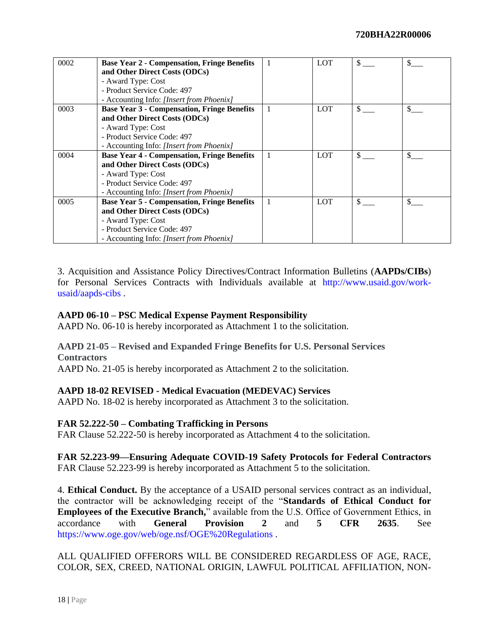| 0002 | <b>Base Year 2 - Compensation, Fringe Benefits</b> |   | <b>LOT</b> | \$<br>\$ |
|------|----------------------------------------------------|---|------------|----------|
|      | and Other Direct Costs (ODCs)                      |   |            |          |
|      | - Award Type: Cost                                 |   |            |          |
|      | - Product Service Code: 497                        |   |            |          |
|      | - Accounting Info: [Insert from Phoenix]           |   |            |          |
| 0003 | <b>Base Year 3 - Compensation, Fringe Benefits</b> |   | <b>LOT</b> | \$<br>\$ |
|      | and Other Direct Costs (ODCs)                      |   |            |          |
|      | - Award Type: Cost                                 |   |            |          |
|      | - Product Service Code: 497                        |   |            |          |
|      | - Accounting Info: <i>[Insert from Phoenix]</i>    |   |            |          |
| 0004 | <b>Base Year 4 - Compensation, Fringe Benefits</b> |   | <b>LOT</b> | \$       |
|      | and Other Direct Costs (ODCs)                      |   |            |          |
|      | - Award Type: Cost                                 |   |            |          |
|      | - Product Service Code: 497                        |   |            |          |
|      | - Accounting Info: <i>[Insert from Phoenix]</i>    |   |            |          |
| 0005 | <b>Base Year 5 - Compensation, Fringe Benefits</b> | 1 | <b>LOT</b> | \$<br>\$ |
|      | and Other Direct Costs (ODCs)                      |   |            |          |
|      | - Award Type: Cost                                 |   |            |          |
|      | - Product Service Code: 497                        |   |            |          |
|      | - Accounting Info: <i>[Insert from Phoenix]</i>    |   |            |          |

3. Acquisition and Assistance Policy Directives/Contract Information Bulletins (**AAPDs/CIBs**) for Personal Services Contracts with Individuals available at http://www.usaid.gov/workusaid/aapds-cibs .

## **AAPD 06-10 – PSC Medical Expense Payment Responsibility**

AAPD No. 06-10 is hereby incorporated as Attachment 1 to the solicitation.

# **AAPD 21-05 – Revised and Expanded Fringe Benefits for U.S. Personal Services Contractors**

AAPD No. 21-05 is hereby incorporated as Attachment 2 to the solicitation.

### **AAPD 18-02 REVISED - Medical Evacuation (MEDEVAC) Services**

AAPD No. 18-02 is hereby incorporated as Attachment 3 to the solicitation.

### **FAR 52.222-50 – Combating Trafficking in Persons**

FAR Clause 52.222-50 is hereby incorporated as Attachment 4 to the solicitation.

# **FAR 52.223-99—Ensuring Adequate COVID-19 Safety Protocols for Federal Contractors**

FAR Clause 52.223-99 is hereby incorporated as Attachment 5 to the solicitation.

4. **Ethical Conduct.** By the acceptance of a USAID personal services contract as an individual, the contractor will be acknowledging receipt of the "**Standards of Ethical Conduct for Employees of the Executive Branch,**" available from the U.S. Office of Government Ethics, in accordance with **General Provision 2** and **5 CFR 2635**. See https://www.oge.gov/web/oge.nsf/OGE%20Regulations .

# ALL QUALIFIED OFFERORS WILL BE CONSIDERED REGARDLESS OF AGE, RACE, COLOR, SEX, CREED, NATIONAL ORIGIN, LAWFUL POLITICAL AFFILIATION, NON-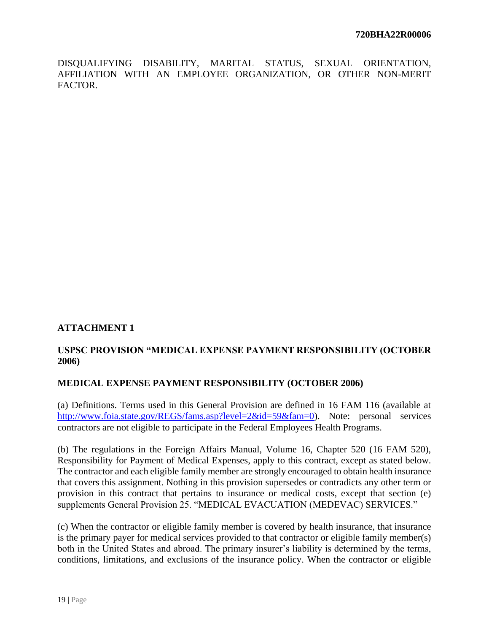DISQUALIFYING DISABILITY, MARITAL STATUS, SEXUAL ORIENTATION, AFFILIATION WITH AN EMPLOYEE ORGANIZATION, OR OTHER NON-MERIT FACTOR.

# **ATTACHMENT 1**

# **USPSC PROVISION "MEDICAL EXPENSE PAYMENT RESPONSIBILITY (OCTOBER 2006)**

### **MEDICAL EXPENSE PAYMENT RESPONSIBILITY (OCTOBER 2006)**

(a) Definitions. Terms used in this General Provision are defined in 16 FAM 116 (available at [http://www.foia.state.gov/REGS/fams.asp?level=2&id=59&fam=0\)](http://www.foia.state.gov/REGS/fams.asp?level=2&id=59&fam=0). Note: personal services contractors are not eligible to participate in the Federal Employees Health Programs.

(b) The regulations in the Foreign Affairs Manual, Volume 16, Chapter 520 (16 FAM 520), Responsibility for Payment of Medical Expenses, apply to this contract, except as stated below. The contractor and each eligible family member are strongly encouraged to obtain health insurance that covers this assignment. Nothing in this provision supersedes or contradicts any other term or provision in this contract that pertains to insurance or medical costs, except that section (e) supplements General Provision 25. "MEDICAL EVACUATION (MEDEVAC) SERVICES."

(c) When the contractor or eligible family member is covered by health insurance, that insurance is the primary payer for medical services provided to that contractor or eligible family member(s) both in the United States and abroad. The primary insurer's liability is determined by the terms, conditions, limitations, and exclusions of the insurance policy. When the contractor or eligible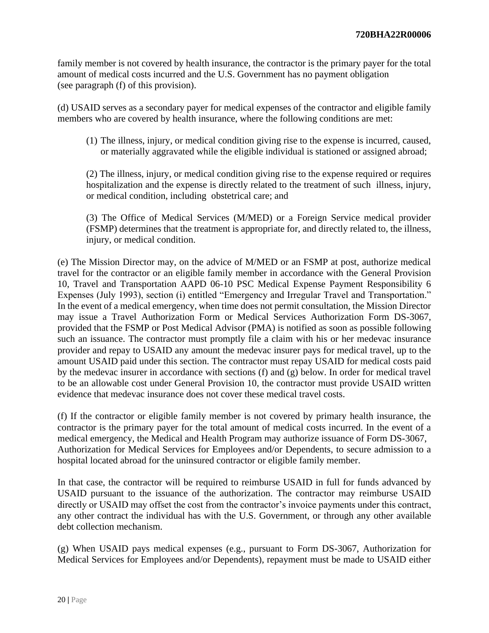family member is not covered by health insurance, the contractor is the primary payer for the total amount of medical costs incurred and the U.S. Government has no payment obligation (see paragraph (f) of this provision).

(d) USAID serves as a secondary payer for medical expenses of the contractor and eligible family members who are covered by health insurance, where the following conditions are met:

(1) The illness, injury, or medical condition giving rise to the expense is incurred, caused, or materially aggravated while the eligible individual is stationed or assigned abroad;

(2) The illness, injury, or medical condition giving rise to the expense required or requires hospitalization and the expense is directly related to the treatment of such illness, injury, or medical condition, including obstetrical care; and

(3) The Office of Medical Services (M/MED) or a Foreign Service medical provider (FSMP) determines that the treatment is appropriate for, and directly related to, the illness, injury, or medical condition.

(e) The Mission Director may, on the advice of M/MED or an FSMP at post, authorize medical travel for the contractor or an eligible family member in accordance with the General Provision 10, Travel and Transportation AAPD 06-10 PSC Medical Expense Payment Responsibility 6 Expenses (July 1993), section (i) entitled "Emergency and Irregular Travel and Transportation." In the event of a medical emergency, when time does not permit consultation, the Mission Director may issue a Travel Authorization Form or Medical Services Authorization Form DS-3067, provided that the FSMP or Post Medical Advisor (PMA) is notified as soon as possible following such an issuance. The contractor must promptly file a claim with his or her medevac insurance provider and repay to USAID any amount the medevac insurer pays for medical travel, up to the amount USAID paid under this section. The contractor must repay USAID for medical costs paid by the medevac insurer in accordance with sections (f) and (g) below. In order for medical travel to be an allowable cost under General Provision 10, the contractor must provide USAID written evidence that medevac insurance does not cover these medical travel costs.

(f) If the contractor or eligible family member is not covered by primary health insurance, the contractor is the primary payer for the total amount of medical costs incurred. In the event of a medical emergency, the Medical and Health Program may authorize issuance of Form DS-3067, Authorization for Medical Services for Employees and/or Dependents, to secure admission to a hospital located abroad for the uninsured contractor or eligible family member.

In that case, the contractor will be required to reimburse USAID in full for funds advanced by USAID pursuant to the issuance of the authorization. The contractor may reimburse USAID directly or USAID may offset the cost from the contractor's invoice payments under this contract, any other contract the individual has with the U.S. Government, or through any other available debt collection mechanism.

(g) When USAID pays medical expenses (e.g., pursuant to Form DS-3067, Authorization for Medical Services for Employees and/or Dependents), repayment must be made to USAID either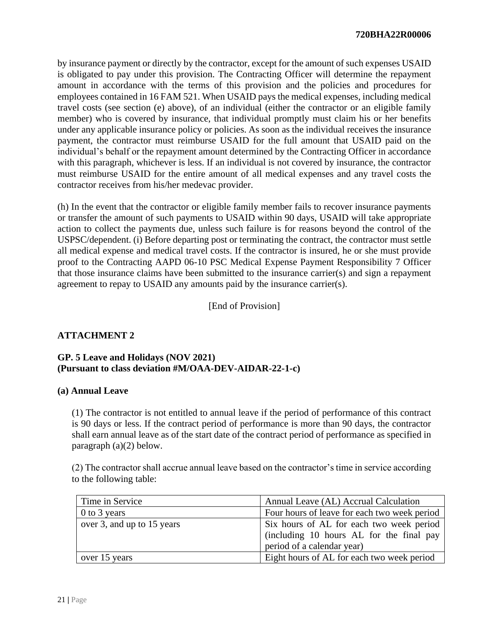by insurance payment or directly by the contractor, except for the amount of such expenses USAID is obligated to pay under this provision. The Contracting Officer will determine the repayment amount in accordance with the terms of this provision and the policies and procedures for employees contained in 16 FAM 521. When USAID pays the medical expenses, including medical travel costs (see section (e) above), of an individual (either the contractor or an eligible family member) who is covered by insurance, that individual promptly must claim his or her benefits under any applicable insurance policy or policies. As soon as the individual receives the insurance payment, the contractor must reimburse USAID for the full amount that USAID paid on the individual's behalf or the repayment amount determined by the Contracting Officer in accordance with this paragraph, whichever is less. If an individual is not covered by insurance, the contractor must reimburse USAID for the entire amount of all medical expenses and any travel costs the contractor receives from his/her medevac provider.

(h) In the event that the contractor or eligible family member fails to recover insurance payments or transfer the amount of such payments to USAID within 90 days, USAID will take appropriate action to collect the payments due, unless such failure is for reasons beyond the control of the USPSC/dependent. (i) Before departing post or terminating the contract, the contractor must settle all medical expense and medical travel costs. If the contractor is insured, he or she must provide proof to the Contracting AAPD 06-10 PSC Medical Expense Payment Responsibility 7 Officer that those insurance claims have been submitted to the insurance carrier(s) and sign a repayment agreement to repay to USAID any amounts paid by the insurance carrier(s).

[End of Provision]

# **ATTACHMENT 2**

# **GP. 5 Leave and Holidays (NOV 2021) (Pursuant to class deviation #M/OAA-DEV-AIDAR-22-1-c)**

### **(a) Annual Leave**

(1) The contractor is not entitled to annual leave if the period of performance of this contract is 90 days or less. If the contract period of performance is more than 90 days, the contractor shall earn annual leave as of the start date of the contract period of performance as specified in paragraph (a)(2) below.

(2) The contractor shall accrue annual leave based on the contractor's time in service according to the following table:

| Time in Service            | Annual Leave (AL) Accrual Calculation        |
|----------------------------|----------------------------------------------|
| 0 to 3 years               | Four hours of leave for each two week period |
| over 3, and up to 15 years | Six hours of AL for each two week period     |
|                            | (including 10 hours AL for the final pay     |
|                            | period of a calendar year)                   |
| over $15$ years            | Eight hours of AL for each two week period   |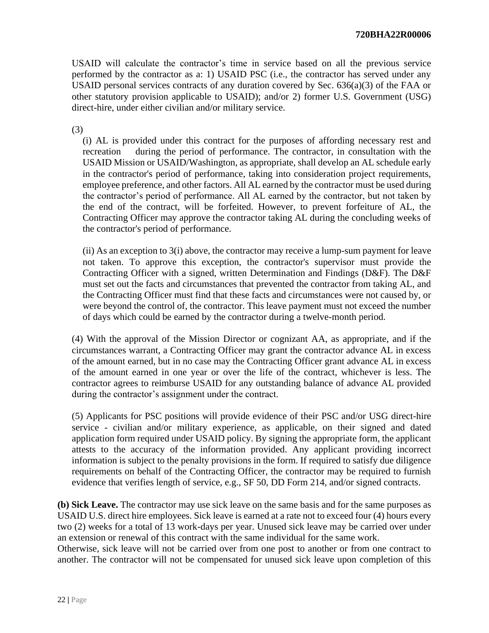USAID will calculate the contractor's time in service based on all the previous service performed by the contractor as a: 1) USAID PSC (i.e., the contractor has served under any USAID personal services contracts of any duration covered by Sec. 636(a)(3) of the FAA or other statutory provision applicable to USAID); and/or 2) former U.S. Government (USG) direct-hire, under either civilian and/or military service.

(3)

(i) AL is provided under this contract for the purposes of affording necessary rest and recreation during the period of performance. The contractor, in consultation with the USAID Mission or USAID/Washington, as appropriate, shall develop an AL schedule early in the contractor's period of performance, taking into consideration project requirements, employee preference, and other factors. All AL earned by the contractor must be used during the contractor's period of performance. All AL earned by the contractor, but not taken by the end of the contract, will be forfeited. However, to prevent forfeiture of AL, the Contracting Officer may approve the contractor taking AL during the concluding weeks of the contractor's period of performance.

(ii) As an exception to 3(i) above, the contractor may receive a lump-sum payment for leave not taken. To approve this exception, the contractor's supervisor must provide the Contracting Officer with a signed, written Determination and Findings (D&F). The D&F must set out the facts and circumstances that prevented the contractor from taking AL, and the Contracting Officer must find that these facts and circumstances were not caused by, or were beyond the control of, the contractor. This leave payment must not exceed the number of days which could be earned by the contractor during a twelve-month period.

(4) With the approval of the Mission Director or cognizant AA, as appropriate, and if the circumstances warrant, a Contracting Officer may grant the contractor advance AL in excess of the amount earned, but in no case may the Contracting Officer grant advance AL in excess of the amount earned in one year or over the life of the contract, whichever is less. The contractor agrees to reimburse USAID for any outstanding balance of advance AL provided during the contractor's assignment under the contract.

(5) Applicants for PSC positions will provide evidence of their PSC and/or USG direct-hire service - civilian and/or military experience, as applicable, on their signed and dated application form required under USAID policy. By signing the appropriate form, the applicant attests to the accuracy of the information provided. Any applicant providing incorrect information is subject to the penalty provisions in the form. If required to satisfy due diligence requirements on behalf of the Contracting Officer, the contractor may be required to furnish evidence that verifies length of service, e.g., SF 50, DD Form 214, and/or signed contracts.

**(b) Sick Leave.** The contractor may use sick leave on the same basis and for the same purposes as USAID U.S. direct hire employees. Sick leave is earned at a rate not to exceed four (4) hours every two (2) weeks for a total of 13 work-days per year. Unused sick leave may be carried over under an extension or renewal of this contract with the same individual for the same work.

Otherwise, sick leave will not be carried over from one post to another or from one contract to another. The contractor will not be compensated for unused sick leave upon completion of this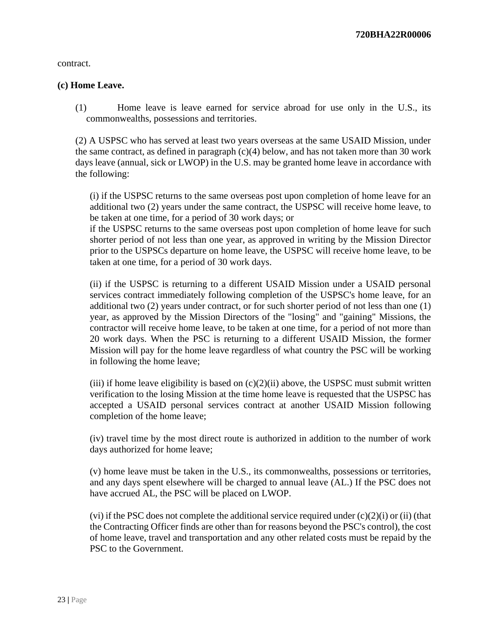contract.

### **(c) Home Leave.**

(1) Home leave is leave earned for service abroad for use only in the U.S., its commonwealths, possessions and territories.

(2) A USPSC who has served at least two years overseas at the same USAID Mission, under the same contract, as defined in paragraph (c)(4) below, and has not taken more than 30 work days leave (annual, sick or LWOP) in the U.S. may be granted home leave in accordance with the following:

(i) if the USPSC returns to the same overseas post upon completion of home leave for an additional two (2) years under the same contract, the USPSC will receive home leave, to be taken at one time, for a period of 30 work days; or

if the USPSC returns to the same overseas post upon completion of home leave for such shorter period of not less than one year, as approved in writing by the Mission Director prior to the USPSCs departure on home leave, the USPSC will receive home leave, to be taken at one time, for a period of 30 work days.

(ii) if the USPSC is returning to a different USAID Mission under a USAID personal services contract immediately following completion of the USPSC's home leave, for an additional two (2) years under contract, or for such shorter period of not less than one (1) year, as approved by the Mission Directors of the "losing" and "gaining" Missions, the contractor will receive home leave, to be taken at one time, for a period of not more than 20 work days. When the PSC is returning to a different USAID Mission, the former Mission will pay for the home leave regardless of what country the PSC will be working in following the home leave;

(iii) if home leave eligibility is based on  $(c)(2)(ii)$  above, the USPSC must submit written verification to the losing Mission at the time home leave is requested that the USPSC has accepted a USAID personal services contract at another USAID Mission following completion of the home leave;

(iv) travel time by the most direct route is authorized in addition to the number of work days authorized for home leave;

(v) home leave must be taken in the U.S., its commonwealths, possessions or territories, and any days spent elsewhere will be charged to annual leave (AL.) If the PSC does not have accrued AL, the PSC will be placed on LWOP.

(vi) if the PSC does not complete the additional service required under  $(c)(2)(i)$  or (ii) (that the Contracting Officer finds are other than for reasons beyond the PSC's control), the cost of home leave, travel and transportation and any other related costs must be repaid by the PSC to the Government.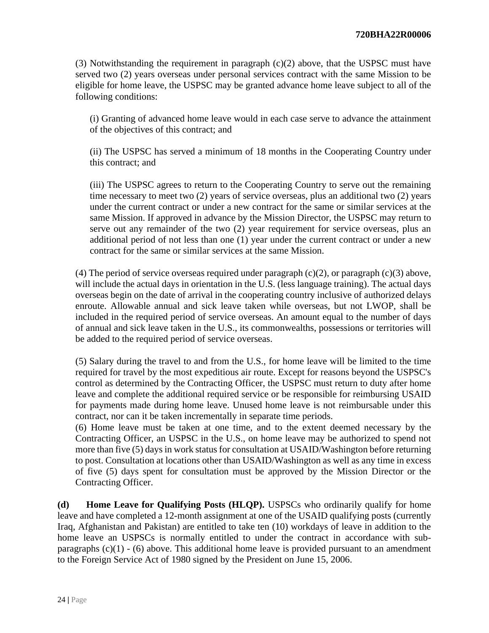(3) Notwithstanding the requirement in paragraph (c)(2) above, that the USPSC must have served two (2) years overseas under personal services contract with the same Mission to be eligible for home leave, the USPSC may be granted advance home leave subject to all of the following conditions:

(i) Granting of advanced home leave would in each case serve to advance the attainment of the objectives of this contract; and

(ii) The USPSC has served a minimum of 18 months in the Cooperating Country under this contract; and

(iii) The USPSC agrees to return to the Cooperating Country to serve out the remaining time necessary to meet two (2) years of service overseas, plus an additional two (2) years under the current contract or under a new contract for the same or similar services at the same Mission. If approved in advance by the Mission Director, the USPSC may return to serve out any remainder of the two (2) year requirement for service overseas, plus an additional period of not less than one (1) year under the current contract or under a new contract for the same or similar services at the same Mission.

(4) The period of service overseas required under paragraph  $(c)(2)$ , or paragraph  $(c)(3)$  above, will include the actual days in orientation in the U.S. (less language training). The actual days overseas begin on the date of arrival in the cooperating country inclusive of authorized delays enroute. Allowable annual and sick leave taken while overseas, but not LWOP, shall be included in the required period of service overseas. An amount equal to the number of days of annual and sick leave taken in the U.S., its commonwealths, possessions or territories will be added to the required period of service overseas.

(5) Salary during the travel to and from the U.S., for home leave will be limited to the time required for travel by the most expeditious air route. Except for reasons beyond the USPSC's control as determined by the Contracting Officer, the USPSC must return to duty after home leave and complete the additional required service or be responsible for reimbursing USAID for payments made during home leave. Unused home leave is not reimbursable under this contract, nor can it be taken incrementally in separate time periods.

(6) Home leave must be taken at one time, and to the extent deemed necessary by the Contracting Officer, an USPSC in the U.S., on home leave may be authorized to spend not more than five (5) days in work status for consultation at USAID/Washington before returning to post. Consultation at locations other than USAID/Washington as well as any time in excess of five (5) days spent for consultation must be approved by the Mission Director or the Contracting Officer.

**(d) Home Leave for Qualifying Posts (HLQP).** USPSCs who ordinarily qualify for home leave and have completed a 12-month assignment at one of the USAID qualifying posts (currently Iraq, Afghanistan and Pakistan) are entitled to take ten (10) workdays of leave in addition to the home leave an USPSCs is normally entitled to under the contract in accordance with subparagraphs  $(c)(1) - (6)$  above. This additional home leave is provided pursuant to an amendment to the Foreign Service Act of 1980 signed by the President on June 15, 2006.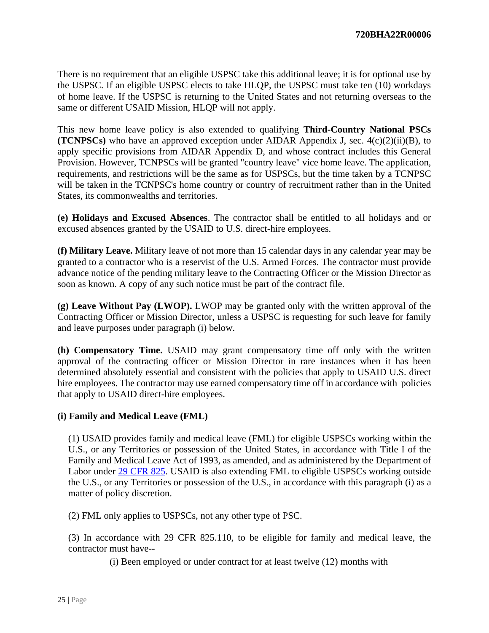There is no requirement that an eligible USPSC take this additional leave; it is for optional use by the USPSC. If an eligible USPSC elects to take HLQP, the USPSC must take ten (10) workdays of home leave. If the USPSC is returning to the United States and not returning overseas to the same or different USAID Mission, HLQP will not apply.

This new home leave policy is also extended to qualifying **Third-Country National PSCs (TCNPSCs)** who have an approved exception under AIDAR Appendix J, sec. 4(c)(2)(ii)(B), to apply specific provisions from AIDAR Appendix D, and whose contract includes this General Provision. However, TCNPSCs will be granted "country leave" vice home leave. The application, requirements, and restrictions will be the same as for USPSCs, but the time taken by a TCNPSC will be taken in the TCNPSC's home country or country of recruitment rather than in the United States, its commonwealths and territories.

**(e) Holidays and Excused Absences**. The contractor shall be entitled to all holidays and or excused absences granted by the USAID to U.S. direct-hire employees.

**(f) Military Leave.** Military leave of not more than 15 calendar days in any calendar year may be granted to a contractor who is a reservist of the U.S. Armed Forces. The contractor must provide advance notice of the pending military leave to the Contracting Officer or the Mission Director as soon as known. A copy of any such notice must be part of the contract file.

**(g) Leave Without Pay (LWOP).** LWOP may be granted only with the written approval of the Contracting Officer or Mission Director, unless a USPSC is requesting for such leave for family and leave purposes under paragraph (i) below.

**(h) Compensatory Time.** USAID may grant compensatory time off only with the written approval of the contracting officer or Mission Director in rare instances when it has been determined absolutely essential and consistent with the policies that apply to USAID U.S. direct hire employees. The contractor may use earned compensatory time off in accordance with policies that apply to USAID direct-hire employees.

### **(i) Family and Medical Leave (FML)**

(1) USAID provides family and medical leave (FML) for eligible USPSCs working within the U.S., or any Territories or possession of the United States, in accordance with Title I of the Family and Medical Leave Act of 1993, as amended, and as administered by the Department of Labor under [29 CFR 825.](https://www.ecfr.gov/cgi-bin/text-idx?SID=db0243f608afdb03943b0635a819c860&mc=true&tpl=/ecfrbrowse/Title29/29cfr825_main_02.tpl) USAID is also extending FML to eligible USPSCs working outside the U.S., or any Territories or possession of the U.S., in accordance with this paragraph (i) as a matter of policy discretion.

(2) FML only applies to USPSCs, not any other type of PSC.

(3) In accordance with 29 CFR 825.110, to be eligible for family and medical leave, the contractor must have--

(i) Been employed or under contract for at least twelve (12) months with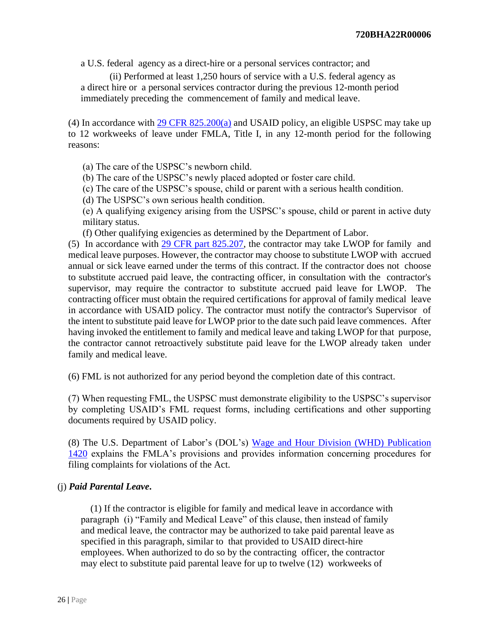a U.S. federal agency as a direct-hire or a personal services contractor; and

(ii) Performed at least 1,250 hours of service with a U.S. federal agency as a direct hire or a personal services contractor during the previous 12-month period immediately preceding the commencement of family and medical leave.

(4) In accordance with  $\frac{29 \text{ CFR } 825.200(a)}{a}$  and USAID policy, an eligible USPSC may take up to 12 workweeks of leave under FMLA, Title I, in any 12-month period for the following reasons:

(a) The care of the USPSC's newborn child.

(b) The care of the USPSC's newly placed adopted or foster care child.

(c) The care of the USPSC's spouse, child or parent with a serious health condition.

(d) The USPSC's own serious health condition.

(e) A qualifying exigency arising from the USPSC's spouse, child or parent in active duty military status.

(f) Other qualifying exigencies as determined by the Department of Labor.

(5) In accordance with 29 CFR part 825.207, the contractor may take LWOP for family and medical leave purposes. However, the contractor may choose to substitute LWOP with accrued annual or sick leave earned under the terms of this contract. If the contractor does not choose to substitute accrued paid leave, the contracting officer, in consultation with the contractor's supervisor, may require the contractor to substitute accrued paid leave for LWOP. The contracting officer must obtain the required certifications for approval of family medical leave in accordance with USAID policy. The contractor must notify the contractor's Supervisor of the intent to substitute paid leave for LWOP prior to the date such paid leave commences. After having invoked the entitlement to family and medical leave and taking LWOP for that purpose, the contractor cannot retroactively substitute paid leave for the LWOP already taken under family and medical leave.

(6) FML is not authorized for any period beyond the completion date of this contract.

(7) When requesting FML, the USPSC must demonstrate eligibility to the USPSC's supervisor by completing USAID's FML request forms, including certifications and other supporting documents required by USAID policy.

(8) The U.S. Department of Labor's (DOL's) [Wage and Hour Division \(WHD\) Publication](https://www.dol.gov/whd/regs/compliance/posters/fmlaen.pdf)  [1420](https://www.dol.gov/whd/regs/compliance/posters/fmlaen.pdf) explains the FMLA's provisions and provides information concerning procedures for filing complaints for violations of the Act.

### (j) *Paid Parental Leave***.**

 (1) If the contractor is eligible for family and medical leave in accordance with paragraph (i) "Family and Medical Leave" of this clause, then instead of family and medical leave, the contractor may be authorized to take paid parental leave as specified in this paragraph, similar to that provided to USAID direct-hire employees. When authorized to do so by the contracting officer, the contractor may elect to substitute paid parental leave for up to twelve (12) workweeks of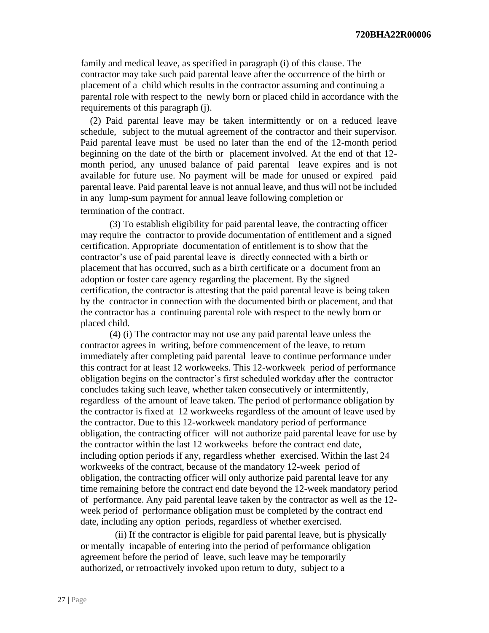family and medical leave, as specified in paragraph (i) of this clause. The contractor may take such paid parental leave after the occurrence of the birth or placement of a child which results in the contractor assuming and continuing a parental role with respect to the newly born or placed child in accordance with the requirements of this paragraph (j).

 (2) Paid parental leave may be taken intermittently or on a reduced leave schedule, subject to the mutual agreement of the contractor and their supervisor. Paid parental leave must be used no later than the end of the 12-month period beginning on the date of the birth or placement involved. At the end of that 12 month period, any unused balance of paid parental leave expires and is not available for future use. No payment will be made for unused or expired paid parental leave. Paid parental leave is not annual leave, and thus will not be included in any lump-sum payment for annual leave following completion or termination of the contract.

(3) To establish eligibility for paid parental leave, the contracting officer may require the contractor to provide documentation of entitlement and a signed certification. Appropriate documentation of entitlement is to show that the contractor's use of paid parental leave is directly connected with a birth or placement that has occurred, such as a birth certificate or a document from an adoption or foster care agency regarding the placement. By the signed certification, the contractor is attesting that the paid parental leave is being taken by the contractor in connection with the documented birth or placement, and that the contractor has a continuing parental role with respect to the newly born or placed child.

(4) (i) The contractor may not use any paid parental leave unless the contractor agrees in writing, before commencement of the leave, to return immediately after completing paid parental leave to continue performance under this contract for at least 12 workweeks. This 12-workweek period of performance obligation begins on the contractor's first scheduled workday after the contractor concludes taking such leave, whether taken consecutively or intermittently, regardless of the amount of leave taken. The period of performance obligation by the contractor is fixed at 12 workweeks regardless of the amount of leave used by the contractor. Due to this 12-workweek mandatory period of performance obligation, the contracting officer will not authorize paid parental leave for use by the contractor within the last 12 workweeks before the contract end date, including option periods if any, regardless whether exercised. Within the last 24 workweeks of the contract, because of the mandatory 12-week period of obligation, the contracting officer will only authorize paid parental leave for any time remaining before the contract end date beyond the 12-week mandatory period of performance. Any paid parental leave taken by the contractor as well as the 12 week period of performance obligation must be completed by the contract end date, including any option periods, regardless of whether exercised.

(ii) If the contractor is eligible for paid parental leave, but is physically or mentally incapable of entering into the period of performance obligation agreement before the period of leave, such leave may be temporarily authorized, or retroactively invoked upon return to duty, subject to a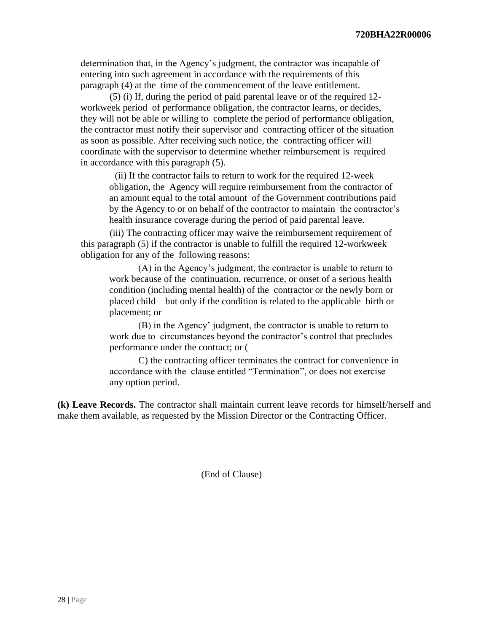determination that, in the Agency's judgment, the contractor was incapable of entering into such agreement in accordance with the requirements of this paragraph (4) at the time of the commencement of the leave entitlement.

(5) (i) If, during the period of paid parental leave or of the required 12 workweek period of performance obligation, the contractor learns, or decides, they will not be able or willing to complete the period of performance obligation, the contractor must notify their supervisor and contracting officer of the situation as soon as possible. After receiving such notice, the contracting officer will coordinate with the supervisor to determine whether reimbursement is required in accordance with this paragraph (5).

(ii) If the contractor fails to return to work for the required 12-week obligation, the Agency will require reimbursement from the contractor of an amount equal to the total amount of the Government contributions paid by the Agency to or on behalf of the contractor to maintain the contractor's health insurance coverage during the period of paid parental leave.

(iii) The contracting officer may waive the reimbursement requirement of this paragraph (5) if the contractor is unable to fulfill the required 12-workweek obligation for any of the following reasons:

(A) in the Agency's judgment, the contractor is unable to return to work because of the continuation, recurrence, or onset of a serious health condition (including mental health) of the contractor or the newly born or placed child—but only if the condition is related to the applicable birth or placement; or

(B) in the Agency' judgment, the contractor is unable to return to work due to circumstances beyond the contractor's control that precludes performance under the contract; or (

C) the contracting officer terminates the contract for convenience in accordance with the clause entitled "Termination", or does not exercise any option period.

**(k) Leave Records.** The contractor shall maintain current leave records for himself/herself and make them available, as requested by the Mission Director or the Contracting Officer.

(End of Clause)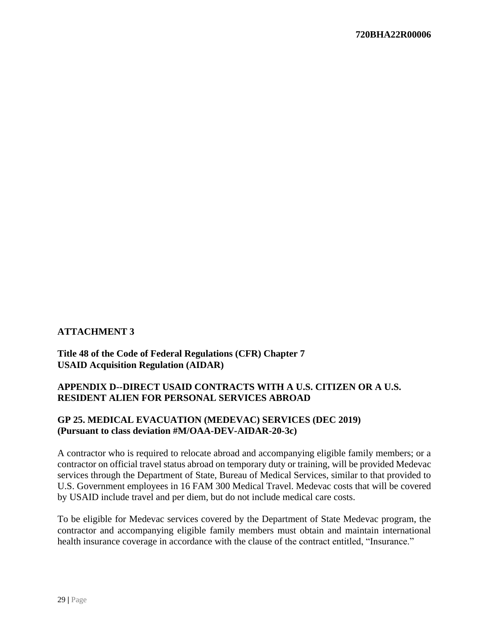# **ATTACHMENT 3**

# **Title 48 of the Code of Federal Regulations (CFR) Chapter 7 USAID Acquisition Regulation (AIDAR)**

# **APPENDIX D--DIRECT USAID CONTRACTS WITH A U.S. CITIZEN OR A U.S. RESIDENT ALIEN FOR PERSONAL SERVICES ABROAD**

# **GP 25. MEDICAL EVACUATION (MEDEVAC) SERVICES (DEC 2019) (Pursuant to class deviation #M/OAA-DEV-AIDAR-20-3c)**

A contractor who is required to relocate abroad and accompanying eligible family members; or a contractor on official travel status abroad on temporary duty or training, will be provided Medevac services through the Department of State, Bureau of Medical Services, similar to that provided to U.S. Government employees in 16 FAM 300 Medical Travel. Medevac costs that will be covered by USAID include travel and per diem, but do not include medical care costs.

To be eligible for Medevac services covered by the Department of State Medevac program, the contractor and accompanying eligible family members must obtain and maintain international health insurance coverage in accordance with the clause of the contract entitled, "Insurance."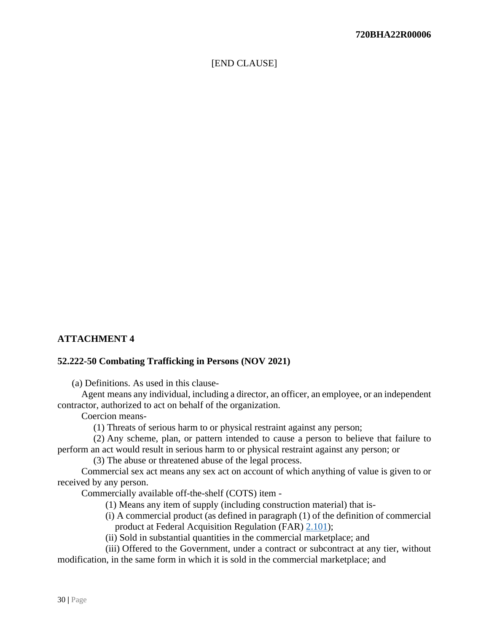# [END CLAUSE]

# **ATTACHMENT 4**

#### **52.222-50 Combating Trafficking in Persons (NOV 2021)**

(a) Definitions. As used in this clause-

 Agent means any individual, including a director, an officer, an employee, or an independent contractor, authorized to act on behalf of the organization.

Coercion means-

(1) Threats of serious harm to or physical restraint against any person;

 (2) Any scheme, plan, or pattern intended to cause a person to believe that failure to perform an act would result in serious harm to or physical restraint against any person; or

(3) The abuse or threatened abuse of the legal process.

 Commercial sex act means any sex act on account of which anything of value is given to or received by any person.

Commercially available off-the-shelf (COTS) item -

(1) Means any item of supply (including construction material) that is-

 (i) A commercial product (as defined in paragraph (1) of the definition of commercial product at Federal Acquisition Regulation (FAR) [2.101\)](https://www.acquisition.gov/far/2.101#FAR_2_101);

(ii) Sold in substantial quantities in the commercial marketplace; and

 (iii) Offered to the Government, under a contract or subcontract at any tier, without modification, in the same form in which it is sold in the commercial marketplace; and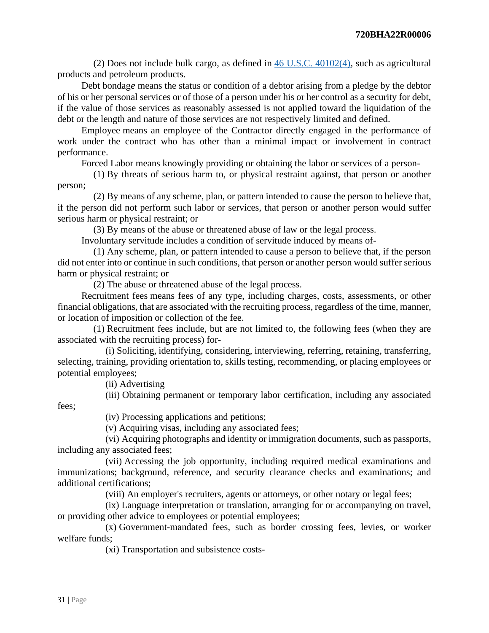(2) Does not include bulk cargo, as defined in  $46$  U.S.C.  $40102(4)$ , such as agricultural products and petroleum products.

 Debt bondag*e* means the status or condition of a debtor arising from a pledge by the debtor of his or her personal services or of those of a person under his or her control as a security for debt, if the value of those services as reasonably assessed is not applied toward the liquidation of the debt or the length and nature of those services are not respectively limited and defined.

 Employee means an employee of the Contractor directly engaged in the performance of work under the contract who has other than a minimal impact or involvement in contract performance.

Forced Labor means knowingly providing or obtaining the labor or services of a person-

 (1) By threats of serious harm to, or physical restraint against, that person or another person;

 (2) By means of any scheme, plan, or pattern intended to cause the person to believe that, if the person did not perform such labor or services, that person or another person would suffer serious harm or physical restraint; or

(3) By means of the abuse or threatened abuse of law or the legal process.

Involuntary servitude includes a condition of servitude induced by means of-

 (1) Any scheme, plan, or pattern intended to cause a person to believe that, if the person did not enter into or continue in such conditions, that person or another person would suffer serious harm or physical restraint; or

(2) The abuse or threatened abuse of the legal process.

 Recruitment fees means fees of any type, including charges, costs, assessments, or other financial obligations, that are associated with the recruiting process, regardless of the time, manner, or location of imposition or collection of the fee.

 (1) Recruitment fees include, but are not limited to, the following fees (when they are associated with the recruiting process) for-

 (i) Soliciting, identifying, considering, interviewing, referring, retaining, transferring, selecting, training, providing orientation to, skills testing, recommending, or placing employees or potential employees;

(ii) Advertising

(iii) Obtaining permanent or temporary labor certification, including any associated

fees;

(iv) Processing applications and petitions;

(v) Acquiring visas, including any associated fees;

 (vi) Acquiring photographs and identity or immigration documents, such as passports, including any associated fees;

 (vii) Accessing the job opportunity, including required medical examinations and immunizations; background, reference, and security clearance checks and examinations; and additional certifications;

(viii) An employer's recruiters, agents or attorneys, or other notary or legal fees;

 (ix) Language interpretation or translation, arranging for or accompanying on travel, or providing other advice to employees or potential employees;

 (x) Government-mandated fees, such as border crossing fees, levies, or worker welfare funds;

(xi) Transportation and subsistence costs-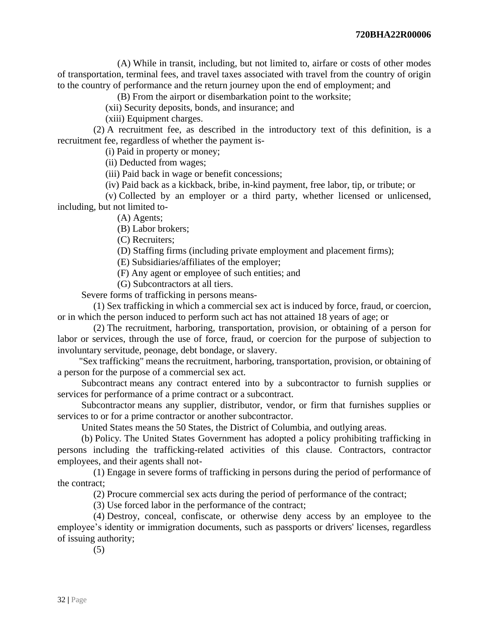(A) While in transit, including, but not limited to, airfare or costs of other modes of transportation, terminal fees, and travel taxes associated with travel from the country of origin to the country of performance and the return journey upon the end of employment; and

(B) From the airport or disembarkation point to the worksite;

(xii) Security deposits, bonds, and insurance; and

(xiii) Equipment charges.

 (2) A recruitment fee, as described in the introductory text of this definition, is a recruitment fee, regardless of whether the payment is-

(i) Paid in property or money;

(ii) Deducted from wages;

(iii) Paid back in wage or benefit concessions;

(iv) Paid back as a kickback, bribe, in-kind payment, free labor, tip, or tribute; or

 (v) Collected by an employer or a third party, whether licensed or unlicensed, including, but not limited to-

(A) Agents;

(B) Labor brokers;

(C) Recruiters;

(D) Staffing firms (including private employment and placement firms);

(E) Subsidiaries/affiliates of the employer;

(F) Any agent or employee of such entities; and

(G) Subcontractors at all tiers.

Severe forms of trafficking in persons means-

 (1) Sex trafficking in which a commercial sex act is induced by force, fraud, or coercion, or in which the person induced to perform such act has not attained 18 years of age; or

 (2) The recruitment, harboring, transportation, provision, or obtaining of a person for labor or services, through the use of force, fraud, or coercion for the purpose of subjection to involuntary servitude, peonage, debt bondage, or slavery.

 "Sex trafficking" means the recruitment, harboring, transportation, provision, or obtaining of a person for the purpose of a commercial sex act.

 Subcontract means any contract entered into by a subcontractor to furnish supplies or services for performance of a prime contract or a subcontract.

 Subcontractor means any supplier, distributor, vendor, or firm that furnishes supplies or services to or for a prime contractor or another subcontractor.

United States means the 50 States, the District of Columbia, and outlying areas.

 (b) Policy*.* The United States Government has adopted a policy prohibiting trafficking in persons including the trafficking-related activities of this clause. Contractors, contractor employees, and their agents shall not-

 (1) Engage in severe forms of trafficking in persons during the period of performance of the contract;

(2) Procure commercial sex acts during the period of performance of the contract;

(3) Use forced labor in the performance of the contract;

 (4) Destroy, conceal, confiscate, or otherwise deny access by an employee to the employee's identity or immigration documents, such as passports or drivers' licenses, regardless of issuing authority;

(5)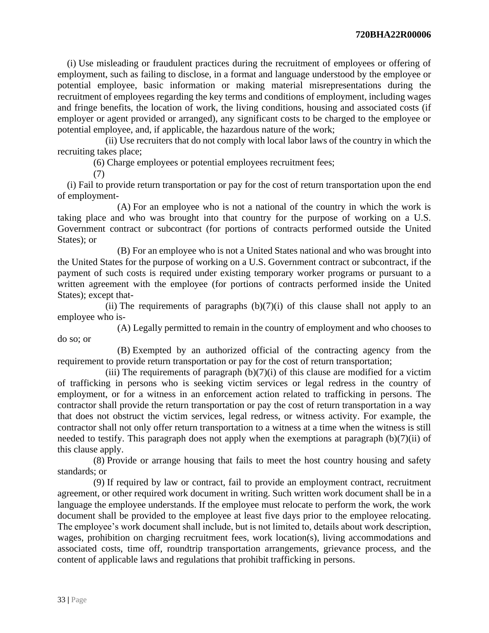**720BHA22R00006**

(i) Use misleading or fraudulent practices during the recruitment of employees or offering of employment, such as failing to disclose, in a format and language understood by the employee or potential employee, basic information or making material misrepresentations during the recruitment of employees regarding the key terms and conditions of employment, including wages and fringe benefits, the location of work, the living conditions, housing and associated costs (if employer or agent provided or arranged), any significant costs to be charged to the employee or potential employee, and, if applicable, the hazardous nature of the work;

 (ii) Use recruiters that do not comply with local labor laws of the country in which the recruiting takes place;

(6) Charge employees or potential employees recruitment fees;

(7)

(i) Fail to provide return transportation or pay for the cost of return transportation upon the end of employment-

 (A) For an employee who is not a national of the country in which the work is taking place and who was brought into that country for the purpose of working on a U.S. Government contract or subcontract (for portions of contracts performed outside the United States); or

 (B) For an employee who is not a United States national and who was brought into the United States for the purpose of working on a U.S. Government contract or subcontract, if the payment of such costs is required under existing temporary worker programs or pursuant to a written agreement with the employee (for portions of contracts performed inside the United States); except that-

(ii) The requirements of paragraphs  $(b)(7)(i)$  of this clause shall not apply to an employee who is-

 (A) Legally permitted to remain in the country of employment and who chooses to do so; or

 (B) Exempted by an authorized official of the contracting agency from the requirement to provide return transportation or pay for the cost of return transportation;

(iii) The requirements of paragraph  $(b)(7)(i)$  of this clause are modified for a victim of trafficking in persons who is seeking victim services or legal redress in the country of employment, or for a witness in an enforcement action related to trafficking in persons. The contractor shall provide the return transportation or pay the cost of return transportation in a way that does not obstruct the victim services, legal redress, or witness activity. For example, the contractor shall not only offer return transportation to a witness at a time when the witness is still needed to testify. This paragraph does not apply when the exemptions at paragraph  $(b)(7)(ii)$  of this clause apply.

 (8) Provide or arrange housing that fails to meet the host country housing and safety standards; or

 (9) If required by law or contract, fail to provide an employment contract, recruitment agreement, or other required work document in writing. Such written work document shall be in a language the employee understands. If the employee must relocate to perform the work, the work document shall be provided to the employee at least five days prior to the employee relocating. The employee's work document shall include, but is not limited to, details about work description, wages, prohibition on charging recruitment fees, work location(s), living accommodations and associated costs, time off, roundtrip transportation arrangements, grievance process, and the content of applicable laws and regulations that prohibit trafficking in persons.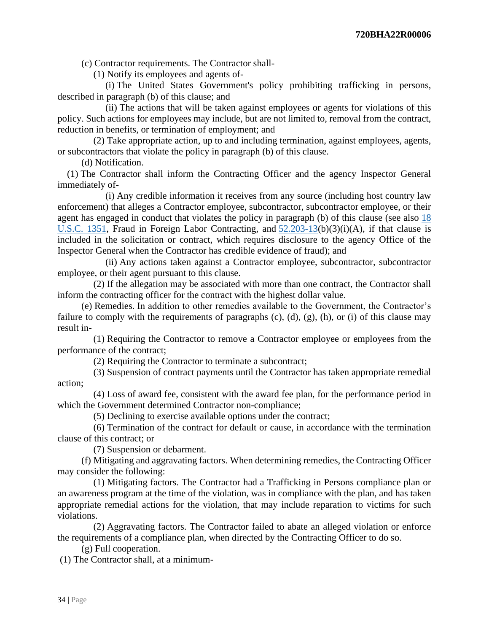(c) Contractor requirements. The Contractor shall-

(1) Notify its employees and agents of-

 (i) The United States Government's policy prohibiting trafficking in persons, described in paragraph (b) of this clause; and

 (ii) The actions that will be taken against employees or agents for violations of this policy. Such actions for employees may include, but are not limited to, removal from the contract, reduction in benefits, or termination of employment; and

 (2) Take appropriate action, up to and including termination, against employees, agents, or subcontractors that violate the policy in paragraph (b) of this clause.

(d) Notification.

(1) The Contractor shall inform the Contracting Officer and the agency Inspector General immediately of-

 (i) Any credible information it receives from any source (including host country law enforcement) that alleges a Contractor employee, subcontractor, subcontractor employee, or their agent has engaged in conduct that violates the policy in paragraph (b) of this clause (see also [18](http://uscode.house.gov/browse.xhtml;jsessionid=114A3287C7B3359E597506A31FC855B3)  [U.S.C. 1351,](http://uscode.house.gov/browse.xhtml;jsessionid=114A3287C7B3359E597506A31FC855B3) Fraud in Foreign Labor Contracting, and  $52.203-13(b)(3)(i)(A)$  $52.203-13(b)(3)(i)(A)$ , if that clause is included in the solicitation or contract, which requires disclosure to the agency Office of the Inspector General when the Contractor has credible evidence of fraud); and

 (ii) Any actions taken against a Contractor employee, subcontractor, subcontractor employee, or their agent pursuant to this clause.

 (2) If the allegation may be associated with more than one contract, the Contractor shall inform the contracting officer for the contract with the highest dollar value.

 (e) Remedies. In addition to other remedies available to the Government, the Contractor's failure to comply with the requirements of paragraphs  $(c)$ ,  $(d)$ ,  $(g)$ ,  $(h)$ , or  $(i)$  of this clause may result in-

 (1) Requiring the Contractor to remove a Contractor employee or employees from the performance of the contract;

(2) Requiring the Contractor to terminate a subcontract;

 (3) Suspension of contract payments until the Contractor has taken appropriate remedial action;

 (4) Loss of award fee, consistent with the award fee plan, for the performance period in which the Government determined Contractor non-compliance;

(5) Declining to exercise available options under the contract;

 (6) Termination of the contract for default or cause, in accordance with the termination clause of this contract; or

(7) Suspension or debarment.

 (f) Mitigating and aggravating factors. When determining remedies, the Contracting Officer may consider the following:

 (1) Mitigating factors. The Contractor had a Trafficking in Persons compliance plan or an awareness program at the time of the violation, was in compliance with the plan, and has taken appropriate remedial actions for the violation, that may include reparation to victims for such violations.

 (2) Aggravating factors. The Contractor failed to abate an alleged violation or enforce the requirements of a compliance plan, when directed by the Contracting Officer to do so.

(g) Full cooperation.

(1) The Contractor shall, at a minimum-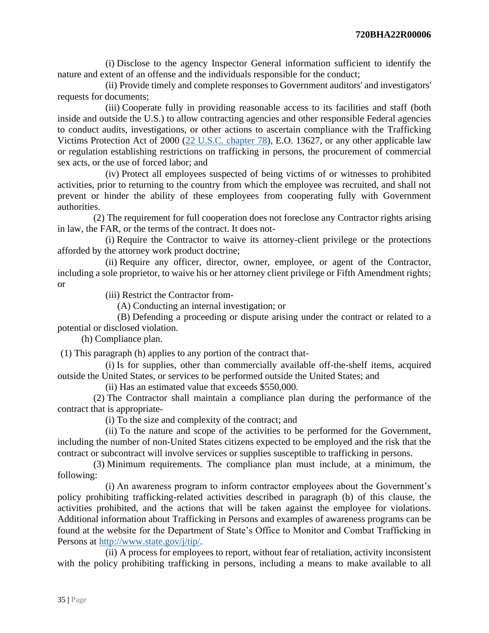(i) Disclose to the agency Inspector General information sufficient to identify the nature and extent of an offense and the individuals responsible for the conduct;

 (ii) Provide timely and complete responses to Government auditors' and investigators' requests for documents;

 (iii) Cooperate fully in providing reasonable access to its facilities and staff (both inside and outside the U.S.) to allow contracting agencies and other responsible Federal agencies to conduct audits, investigations, or other actions to ascertain compliance with the Trafficking Victims Protection Act of 2000 [\(22 U.S.C. chapter 78\)](http://uscode.house.gov/browse.xhtml;jsessionid=114A3287C7B3359E597506A31FC855B3), E.O. 13627, or any other applicable law or regulation establishing restrictions on trafficking in persons, the procurement of commercial sex acts, or the use of forced labor; and

 (iv) Protect all employees suspected of being victims of or witnesses to prohibited activities, prior to returning to the country from which the employee was recruited, and shall not prevent or hinder the ability of these employees from cooperating fully with Government authorities.

 (2) The requirement for full cooperation does not foreclose any Contractor rights arising in law, the FAR, or the terms of the contract. It does not-

 (i) Require the Contractor to waive its attorney-client privilege or the protections afforded by the attorney work product doctrine;

 (ii) Require any officer, director, owner, employee, or agent of the Contractor, including a sole proprietor, to waive his or her attorney client privilege or Fifth Amendment rights; or

(iii) Restrict the Contractor from-

(A) Conducting an internal investigation; or

 (B) Defending a proceeding or dispute arising under the contract or related to a potential or disclosed violation.

(h) Compliance plan.

(1) This paragraph (h) applies to any portion of the contract that-

 (i) Is for supplies, other than commercially available off-the-shelf items, acquired outside the United States, or services to be performed outside the United States; and

(ii) Has an estimated value that exceeds \$550,000.

 (2) The Contractor shall maintain a compliance plan during the performance of the contract that is appropriate-

(i) To the size and complexity of the contract; and

 (ii) To the nature and scope of the activities to be performed for the Government, including the number of non-United States citizens expected to be employed and the risk that the contract or subcontract will involve services or supplies susceptible to trafficking in persons.

 (3) Minimum requirements. The compliance plan must include, at a minimum, the following:

 (i) An awareness program to inform contractor employees about the Government's policy prohibiting trafficking-related activities described in paragraph (b) of this clause, the activities prohibited, and the actions that will be taken against the employee for violations. Additional information about Trafficking in Persons and examples of awareness programs can be found at the website for the Department of State's Office to Monitor and Combat Trafficking in Persons at [http://www.state.gov/j/tip/.](http://www.state.gov/j/tip/)

 (ii) A process for employees to report, without fear of retaliation, activity inconsistent with the policy prohibiting trafficking in persons, including a means to make available to all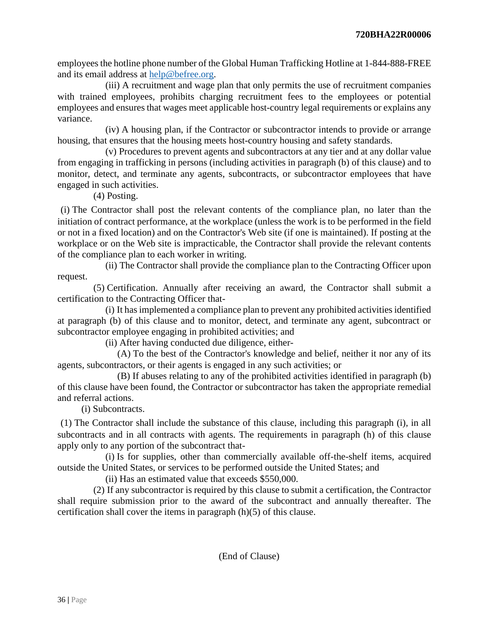employees the hotline phone number of the Global Human Trafficking Hotline at 1-844-888-FREE and its email address at [help@befree.org.](mailto:help@befree.org)

 (iii) A recruitment and wage plan that only permits the use of recruitment companies with trained employees, prohibits charging recruitment fees to the employees or potential employees and ensures that wages meet applicable host-country legal requirements or explains any variance.

 (iv) A housing plan, if the Contractor or subcontractor intends to provide or arrange housing, that ensures that the housing meets host-country housing and safety standards.

 (v) Procedures to prevent agents and subcontractors at any tier and at any dollar value from engaging in trafficking in persons (including activities in paragraph (b) of this clause) and to monitor, detect, and terminate any agents, subcontracts, or subcontractor employees that have engaged in such activities.

(4) Posting.

(i) The Contractor shall post the relevant contents of the compliance plan, no later than the initiation of contract performance, at the workplace (unless the work is to be performed in the field or not in a fixed location) and on the Contractor's Web site (if one is maintained). If posting at the workplace or on the Web site is impracticable, the Contractor shall provide the relevant contents of the compliance plan to each worker in writing.

 (ii) The Contractor shall provide the compliance plan to the Contracting Officer upon request.

 (5) Certification. Annually after receiving an award, the Contractor shall submit a certification to the Contracting Officer that-

 (i) It has implemented a compliance plan to prevent any prohibited activities identified at paragraph (b) of this clause and to monitor, detect, and terminate any agent, subcontract or subcontractor employee engaging in prohibited activities; and

(ii) After having conducted due diligence, either-

 (A) To the best of the Contractor's knowledge and belief, neither it nor any of its agents, subcontractors, or their agents is engaged in any such activities; or

 (B) If abuses relating to any of the prohibited activities identified in paragraph (b) of this clause have been found, the Contractor or subcontractor has taken the appropriate remedial and referral actions.

(i) Subcontracts.

(1) The Contractor shall include the substance of this clause, including this paragraph (i), in all subcontracts and in all contracts with agents. The requirements in paragraph (h) of this clause apply only to any portion of the subcontract that-

 (i) Is for supplies, other than commercially available off-the-shelf items, acquired outside the United States, or services to be performed outside the United States; and

(ii) Has an estimated value that exceeds \$550,000.

 (2) If any subcontractor is required by this clause to submit a certification, the Contractor shall require submission prior to the award of the subcontract and annually thereafter. The certification shall cover the items in paragraph (h)(5) of this clause.

(End of Clause)